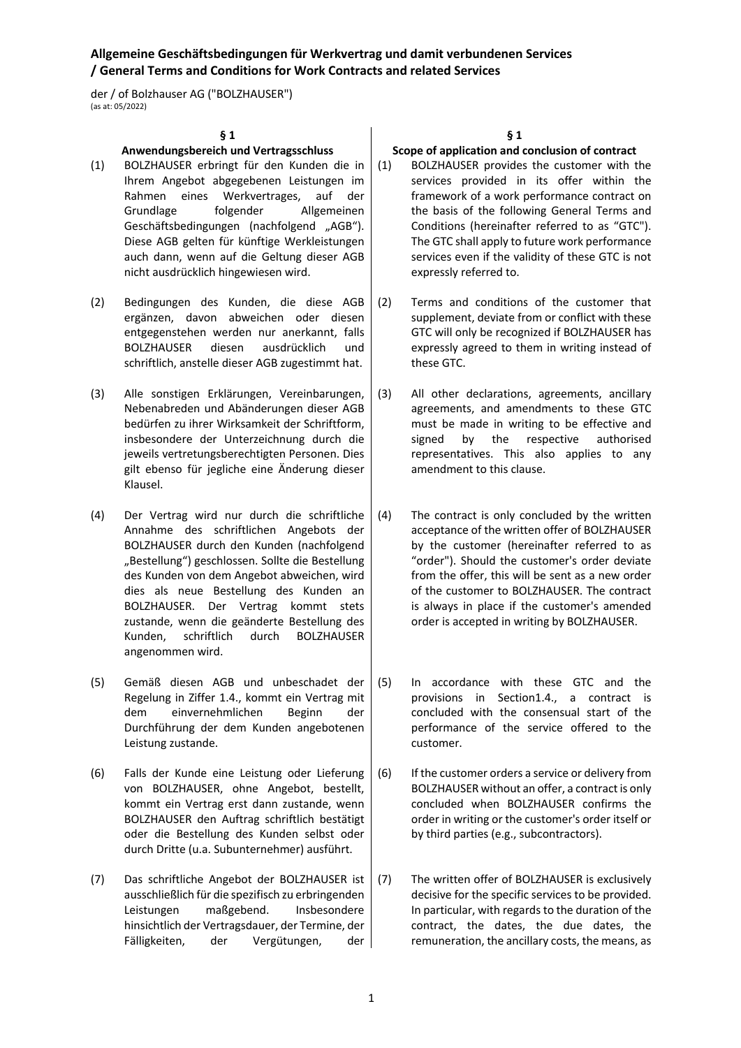der / of Bolzhauser AG ("BOLZHAUSER") (as at: 05/2022)

#### **§ 1**

#### **Anwendungsbereich und Vertragsschluss**

- (1) BOLZHAUSER erbringt für den Kunden die in Ihrem Angebot abgegebenen Leistungen im Rahmen eines Werkvertrages, auf der<br>Grundlage folgender Allgemeinen folgender Allgemeinen Geschäftsbedingungen (nachfolgend "AGB"). Diese AGB gelten für künftige Werkleistungen auch dann, wenn auf die Geltung dieser AGB nicht ausdrücklich hingewiesen wird.
- (2) Bedingungen des Kunden, die diese AGB ergänzen, davon abweichen oder diesen entgegenstehen werden nur anerkannt, falls BOLZHAUSER diesen ausdrücklich und schriftlich, anstelle dieser AGB zugestimmt hat.
- (3) Alle sonstigen Erklärungen, Vereinbarungen, Nebenabreden und Abänderungen dieser AGB bedürfen zu ihrer Wirksamkeit der Schriftform, insbesondere der Unterzeichnung durch die jeweils vertretungsberechtigten Personen. Dies gilt ebenso für jegliche eine Änderung dieser Klausel.
- (4) Der Vertrag wird nur durch die schriftliche Annahme des schriftlichen Angebots der BOLZHAUSER durch den Kunden (nachfolgend "Bestellung") geschlossen. Sollte die Bestellung des Kunden von dem Angebot abweichen, wird dies als neue Bestellung des Kunden an BOLZHAUSER. Der Vertrag kommt stets zustande, wenn die geänderte Bestellung des Kunden, schriftlich durch BOLZHAUSER angenommen wird.
- (5) Gemäß diesen AGB und unbeschadet der Regelung in Ziffer 1.4., kommt ein Vertrag mit dem einvernehmlichen Beginn der Durchführung der dem Kunden angebotenen Leistung zustande.
- (6) Falls der Kunde eine Leistung oder Lieferung von BOLZHAUSER, ohne Angebot, bestellt, kommt ein Vertrag erst dann zustande, wenn BOLZHAUSER den Auftrag schriftlich bestätigt oder die Bestellung des Kunden selbst oder durch Dritte (u.a. Subunternehmer) ausführt.
- (7) Das schriftliche Angebot der BOLZHAUSER ist ausschließlich für die spezifisch zu erbringenden Leistungen maßgebend. Insbesondere hinsichtlich der Vertragsdauer, der Termine, der Fälligkeiten, der Vergütungen, der

#### **§ 1**

#### **Scope of application and conclusion of contract**

- (1) BOLZHAUSER provides the customer with the services provided in its offer within the framework of a work performance contract on the basis of the following General Terms and Conditions (hereinafter referred to as "GTC"). The GTC shall apply to future work performance services even if the validity of these GTC is not expressly referred to.
- (2) Terms and conditions of the customer that supplement, deviate from or conflict with these GTC will only be recognized if BOLZHAUSER has expressly agreed to them in writing instead of these GTC.
- (3) All other declarations, agreements, ancillary agreements, and amendments to these GTC must be made in writing to be effective and signed by the respective authorised representatives. This also applies to any amendment to this clause.
- (4) The contract is only concluded by the written acceptance of the written offer of BOLZHAUSER by the customer (hereinafter referred to as "order"). Should the customer's order deviate from the offer, this will be sent as a new order of the customer to BOLZHAUSER. The contract is always in place if the customer's amended order is accepted in writing by BOLZHAUSER.
- (5) In accordance with these GTC and the provisions in Section1.4., a contract is concluded with the consensual start of the performance of the service offered to the customer.
- (6) If the customer orders a service or delivery from BOLZHAUSER without an offer, a contract is only concluded when BOLZHAUSER confirms the order in writing or the customer's order itself or by third parties (e.g., subcontractors).
- (7) The written offer of BOLZHAUSER is exclusively decisive for the specific services to be provided. In particular, with regards to the duration of the contract, the dates, the due dates, the remuneration, the ancillary costs, the means, as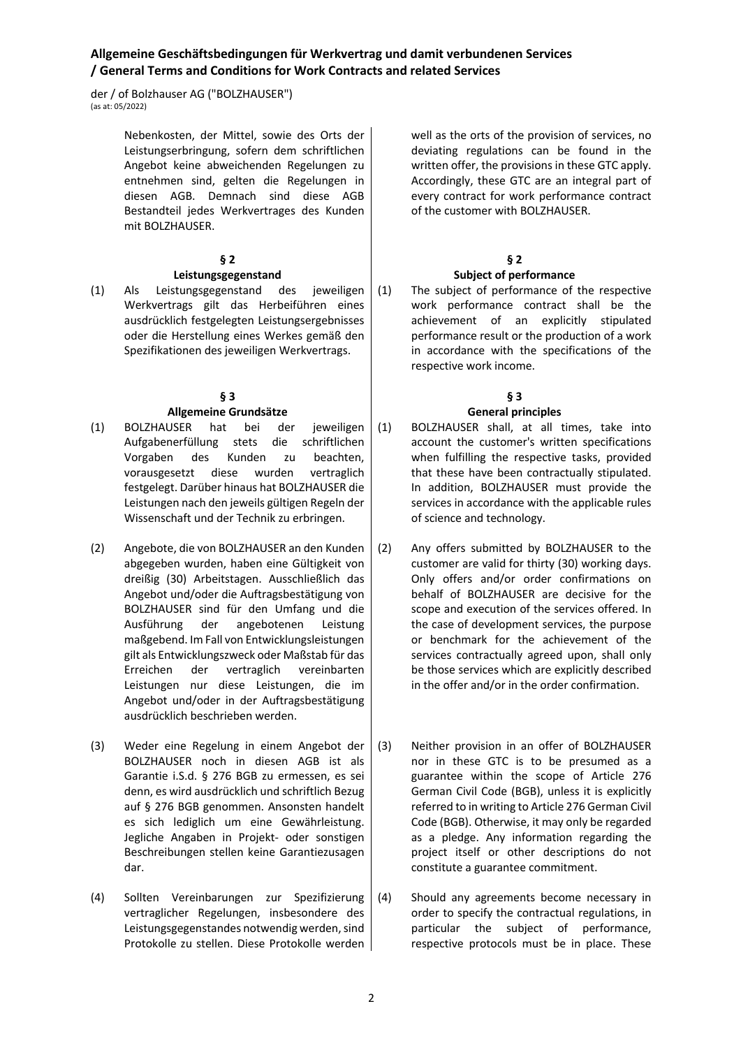der / of Bolzhauser AG ("BOLZHAUSER") (as at: 05/2022)

> Nebenkosten, der Mittel, sowie des Orts der Leistungserbringung, sofern dem schriftlichen Angebot keine abweichenden Regelungen zu entnehmen sind, gelten die Regelungen in diesen AGB. Demnach sind diese AGB Bestandteil jedes Werkvertrages des Kunden mit BOLZHAUSER.

### **§ 2**

#### **Leistungsgegenstand**

(1) Als Leistungsgegenstand des jeweiligen Werkvertrags gilt das Herbeiführen eines ausdrücklich festgelegten Leistungsergebnisses oder die Herstellung eines Werkes gemäß den Spezifikationen des jeweiligen Werkvertrags.

# **§ 3**

## **Allgemeine Grundsätze**

- (1) BOLZHAUSER hat bei der jeweiligen Aufgabenerfüllung stets die schriftlichen Vorgaben des Kunden zu beachten, vorausgesetzt diese wurden vertraglich festgelegt. Darüber hinaus hat BOLZHAUSER die Leistungen nach den jeweils gültigen Regeln der Wissenschaft und der Technik zu erbringen.
- (2) Angebote, die von BOLZHAUSER an den Kunden abgegeben wurden, haben eine Gültigkeit von dreißig (30) Arbeitstagen. Ausschließlich das Angebot und/oder die Auftragsbestätigung von BOLZHAUSER sind für den Umfang und die Ausführung der angebotenen Leistung maßgebend. Im Fall von Entwicklungsleistungen gilt als Entwicklungszweck oder Maßstab für das Erreichen der vertraglich vereinbarten Leistungen nur diese Leistungen, die im Angebot und/oder in der Auftragsbestätigung ausdrücklich beschrieben werden.
- (3) Weder eine Regelung in einem Angebot der BOLZHAUSER noch in diesen AGB ist als Garantie i.S.d. § 276 BGB zu ermessen, es sei denn, es wird ausdrücklich und schriftlich Bezug auf § 276 BGB genommen. Ansonsten handelt es sich lediglich um eine Gewährleistung. Jegliche Angaben in Projekt- oder sonstigen Beschreibungen stellen keine Garantiezusagen dar.
- (4) Sollten Vereinbarungen zur Spezifizierung vertraglicher Regelungen, insbesondere des Leistungsgegenstandes notwendig werden, sind Protokolle zu stellen. Diese Protokolle werden

well as the orts of the provision of services, no deviating regulations can be found in the written offer, the provisions in these GTC apply. Accordingly, these GTC are an integral part of every contract for work performance contract of the customer with BOLZHAUSER.

# **§ 2**

## **Subject of performance**

(1) The subject of performance of the respective work performance contract shall be the achievement of an explicitly stipulated performance result or the production of a work in accordance with the specifications of the respective work income.

# **§ 3**

## **General principles**

- (1) BOLZHAUSER shall, at all times, take into account the customer's written specifications when fulfilling the respective tasks, provided that these have been contractually stipulated. In addition, BOLZHAUSER must provide the services in accordance with the applicable rules of science and technology.
- (2) Any offers submitted by BOLZHAUSER to the customer are valid for thirty (30) working days. Only offers and/or order confirmations on behalf of BOLZHAUSER are decisive for the scope and execution of the services offered. In the case of development services, the purpose or benchmark for the achievement of the services contractually agreed upon, shall only be those services which are explicitly described in the offer and/or in the order confirmation.
- (3) Neither provision in an offer of BOLZHAUSER nor in these GTC is to be presumed as a guarantee within the scope of Article 276 German Civil Code (BGB), unless it is explicitly referred to in writing to Article 276 German Civil Code (BGB). Otherwise, it may only be regarded as a pledge. Any information regarding the project itself or other descriptions do not constitute a guarantee commitment.
- (4) Should any agreements become necessary in order to specify the contractual regulations, in particular the subject of performance, respective protocols must be in place. These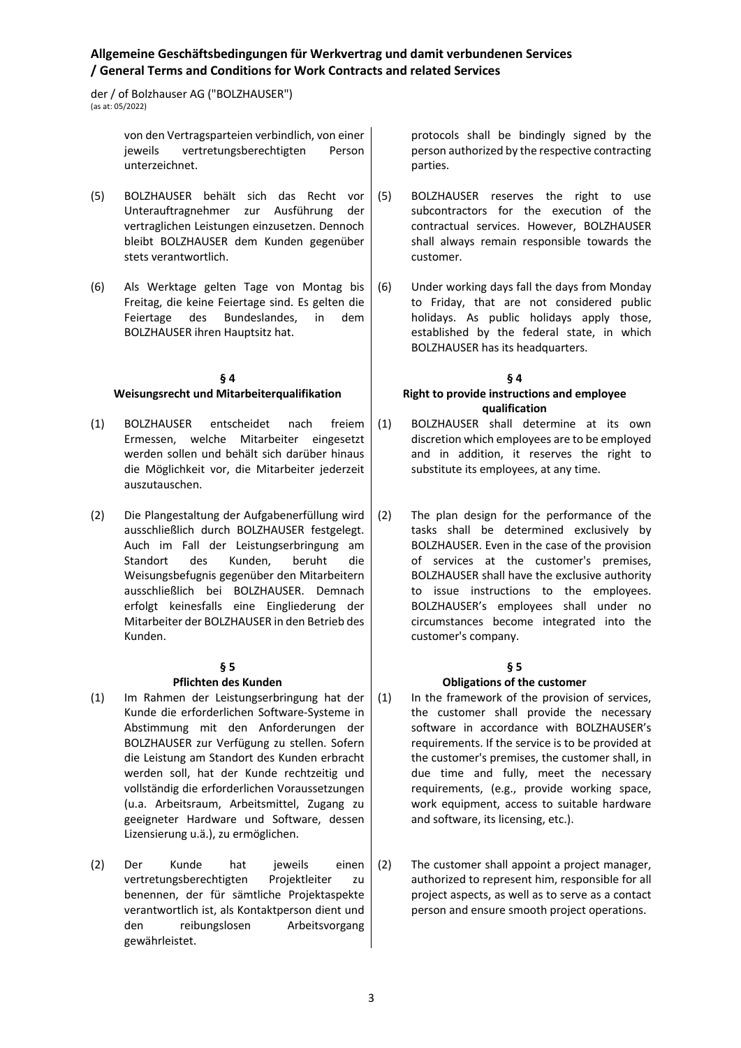der / of Bolzhauser AG ("BOLZHAUSER")  $(\text{ac at: } 05/2022)$ 

> von den Vertragsparteien verbindlich, von einer jeweils vertretungsberechtigten Person unterzeichnet.

- (5) BOLZHAUSER behält sich das Recht vor Unterauftragnehmer zur Ausführung der vertraglichen Leistungen einzusetzen. Dennoch bleibt BOLZHAUSER dem Kunden gegenüber stets verantwortlich.
- (6) Als Werktage gelten Tage von Montag bis Freitag, die keine Feiertage sind. Es gelten die Feiertage des Bundeslandes, in dem BOLZHAUSER ihren Hauptsitz hat.

#### **§ 4 Weisungsrecht und Mitarbeiterqualifikation**

- (1) BOLZHAUSER entscheidet nach freiem Ermessen, welche Mitarbeiter eingesetzt werden sollen und behält sich darüber hinaus die Möglichkeit vor, die Mitarbeiter jederzeit auszutauschen.
- (2) Die Plangestaltung der Aufgabenerfüllung wird ausschließlich durch BOLZHAUSER festgelegt. Auch im Fall der Leistungserbringung am Standort des Kunden, beruht die Weisungsbefugnis gegenüber den Mitarbeitern ausschließlich bei BOLZHAUSER. Demnach erfolgt keinesfalls eine Eingliederung der Mitarbeiter der BOLZHAUSER in den Betrieb des Kunden.

### **§ 5**

### **Pflichten des Kunden**

- (1) Im Rahmen der Leistungserbringung hat der Kunde die erforderlichen Software-Systeme in Abstimmung mit den Anforderungen der BOLZHAUSER zur Verfügung zu stellen. Sofern die Leistung am Standort des Kunden erbracht werden soll, hat der Kunde rechtzeitig und vollständig die erforderlichen Voraussetzungen (u.a. Arbeitsraum, Arbeitsmittel, Zugang zu geeigneter Hardware und Software, dessen Lizensierung u.ä.), zu ermöglichen.
- (2) Der Kunde hat jeweils einen vertretungsberechtigten Projektleiter zu benennen, der für sämtliche Projektaspekte verantwortlich ist, als Kontaktperson dient und den reibungslosen Arbeitsvorgang gewährleistet.

protocols shall be bindingly signed by the person authorized by the respective contracting parties.

- (5) BOLZHAUSER reserves the right to use subcontractors for the execution of the contractual services. However, BOLZHAUSER shall always remain responsible towards the customer.
- (6) Under working days fall the days from Monday to Friday, that are not considered public holidays. As public holidays apply those, established by the federal state, in which BOLZHAUSER has its headquarters.

#### **§ 4 Right to provide instructions and employee qualification**

- (1) BOLZHAUSER shall determine at its own discretion which employees are to be employed and in addition, it reserves the right to substitute its employees, at any time.
- (2) The plan design for the performance of the tasks shall be determined exclusively by BOLZHAUSER. Even in the case of the provision of services at the customer's premises, BOLZHAUSER shall have the exclusive authority to issue instructions to the employees. BOLZHAUSER's employees shall under no circumstances become integrated into the customer's company.

## **§ 5**

### **Obligations of the customer**

(1) In the framework of the provision of services, the customer shall provide the necessary software in accordance with BOLZHAUSER's requirements. If the service is to be provided at the customer's premises, the customer shall, in due time and fully, meet the necessary requirements, (e.g., provide working space, work equipment, access to suitable hardware and software, its licensing, etc.).

(2) The customer shall appoint a project manager, authorized to represent him, responsible for all project aspects, as well as to serve as a contact person and ensure smooth project operations.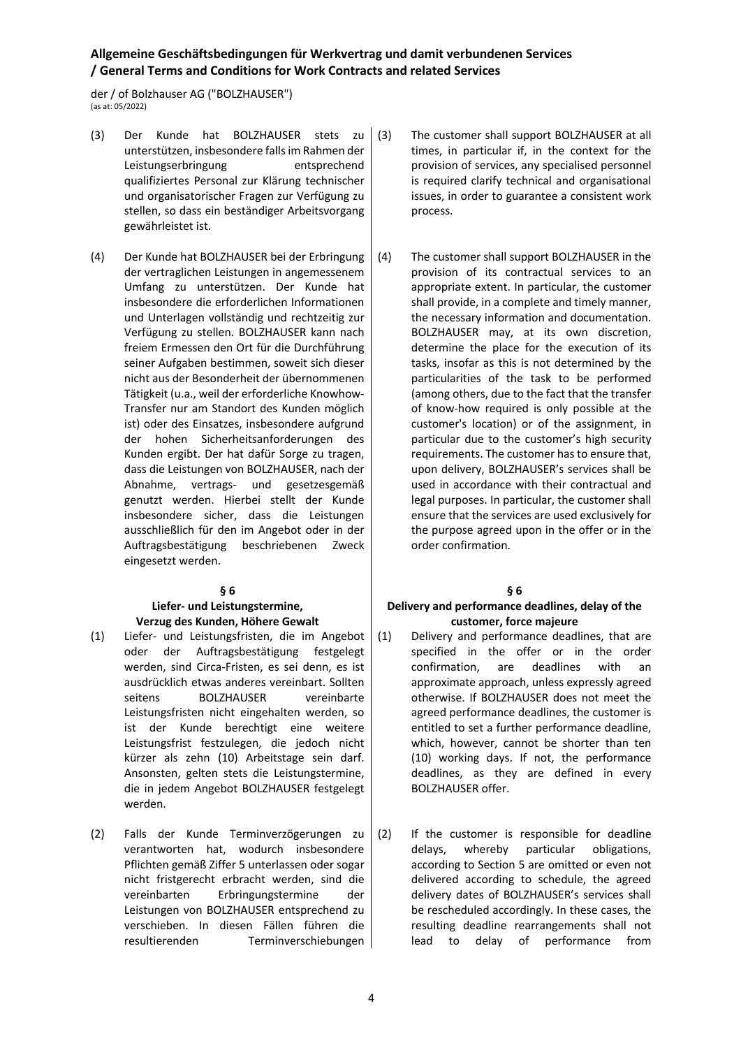der / of Bolzhauser AG ("BOLZHAUSER") (as at: 05/2022)

- (3) Der Kunde hat BOLZHAUSER stets zu unterstützen, insbesondere falls im Rahmen der Leistungserbringung entsprechend qualifiziertes Personal zur Klärung technischer und organisatorischer Fragen zur Verfügung zu stellen, so dass ein beständiger Arbeitsvorgang gewährleistet ist.
- (4) Der Kunde hat BOLZHAUSER bei der Erbringung der vertraglichen Leistungen in angemessenem Umfang zu unterstützen. Der Kunde hat insbesondere die erforderlichen Informationen und Unterlagen vollständig und rechtzeitig zur Verfügung zu stellen. BOLZHAUSER kann nach freiem Ermessen den Ort für die Durchführung seiner Aufgaben bestimmen, soweit sich dieser nicht aus der Besonderheit der übernommenen Tätigkeit (u.a., weil der erforderliche Knowhow-Transfer nur am Standort des Kunden möglich ist) oder des Einsatzes, insbesondere aufgrund der hohen Sicherheitsanforderungen des Kunden ergibt. Der hat dafür Sorge zu tragen, dass die Leistungen von BOLZHAUSER, nach der Abnahme, vertrags- und gesetzesgemäß genutzt werden. Hierbei stellt der Kunde insbesondere sicher, dass die Leistungen ausschließlich für den im Angebot oder in der Auftragsbestätigung beschriebenen Zweck eingesetzt werden.

### **§ 6**

#### **Liefer- und Leistungstermine, Verzug des Kunden, Höhere Gewalt**

- (1) Liefer- und Leistungsfristen, die im Angebot oder der Auftragsbestätigung festgelegt werden, sind Circa-Fristen, es sei denn, es ist ausdrücklich etwas anderes vereinbart. Sollten seitens BOLZHAUSER vereinbarte Leistungsfristen nicht eingehalten werden, so ist der Kunde berechtigt eine weitere Leistungsfrist festzulegen, die jedoch nicht kürzer als zehn (10) Arbeitstage sein darf. Ansonsten, gelten stets die Leistungstermine, die in jedem Angebot BOLZHAUSER festgelegt werden.
- (2) Falls der Kunde Terminverzögerungen zu verantworten hat, wodurch insbesondere Pflichten gemäß Ziffer 5 unterlassen oder sogar nicht fristgerecht erbracht werden, sind die vereinbarten Erbringungstermine der Leistungen von BOLZHAUSER entsprechend zu verschieben. In diesen Fällen führen die resultierenden Terminverschiebungen
- (3) The customer shall support BOLZHAUSER at all times, in particular if, in the context for the provision of services, any specialised personnel is required clarify technical and organisational issues, in order to guarantee a consistent work process.
- (4) The customer shall support BOLZHAUSER in the provision of its contractual services to an appropriate extent. In particular, the customer shall provide, in a complete and timely manner, the necessary information and documentation. BOLZHAUSER may, at its own discretion, determine the place for the execution of its tasks, insofar as this is not determined by the particularities of the task to be performed (among others, due to the fact that the transfer of know-how required is only possible at the customer's location) or of the assignment, in particular due to the customer's high security requirements. The customer has to ensure that, upon delivery, BOLZHAUSER's services shall be used in accordance with their contractual and legal purposes. In particular, the customer shall ensure that the services are used exclusively for the purpose agreed upon in the offer or in the order confirmation.

### **§ 6**

#### **Delivery and performance deadlines, delay of the customer, force majeure**

- (1) Delivery and performance deadlines, that are specified in the offer or in the order confirmation, are deadlines with an approximate approach, unless expressly agreed otherwise. If BOLZHAUSER does not meet the agreed performance deadlines, the customer is entitled to set a further performance deadline, which, however, cannot be shorter than ten (10) working days. If not, the performance deadlines, as they are defined in every BOLZHAUSER offer.
- (2) If the customer is responsible for deadline delays, whereby particular obligations, according to Section 5 are omitted or even not delivered according to schedule, the agreed delivery dates of BOLZHAUSER's services shall be rescheduled accordingly. In these cases, the resulting deadline rearrangements shall not lead to delay of performance from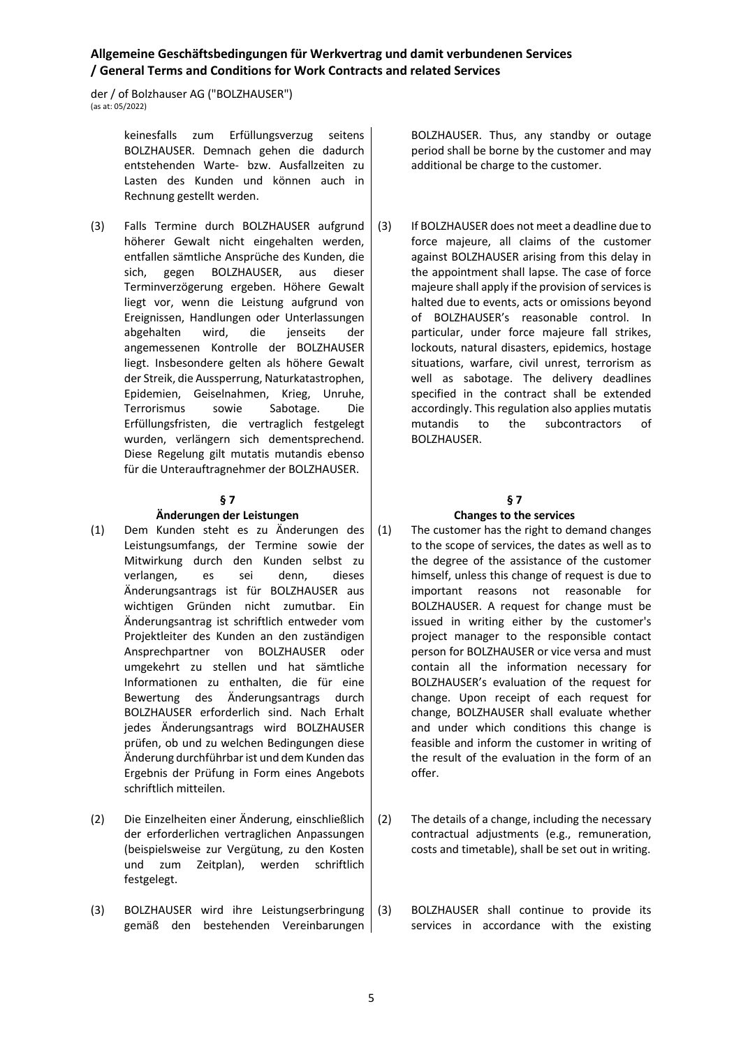der / of Bolzhauser AG ("BOLZHAUSER")  $\frac{1}{2}$  (as at: 05/2022)

> keinesfalls zum Erfüllungsverzug seitens BOLZHAUSER. Demnach gehen die dadurch entstehenden Warte- bzw. Ausfallzeiten zu Lasten des Kunden und können auch in Rechnung gestellt werden.

(3) Falls Termine durch BOLZHAUSER aufgrund höherer Gewalt nicht eingehalten werden, entfallen sämtliche Ansprüche des Kunden, die sich, gegen BOLZHAUSER, aus dieser Terminverzögerung ergeben. Höhere Gewalt liegt vor, wenn die Leistung aufgrund von Ereignissen, Handlungen oder Unterlassungen abgehalten wird, die jenseits der angemessenen Kontrolle der BOLZHAUSER liegt. Insbesondere gelten als höhere Gewalt der Streik, die Aussperrung, Naturkatastrophen, Epidemien, Geiselnahmen, Krieg, Unruhe, Terrorismus sowie Sabotage. Die Erfüllungsfristen, die vertraglich festgelegt wurden, verlängern sich dementsprechend. Diese Regelung gilt mutatis mutandis ebenso für die Unterauftragnehmer der BOLZHAUSER.

### **§ 7**

#### **Änderungen der Leistungen**

- (1) Dem Kunden steht es zu Änderungen des Leistungsumfangs, der Termine sowie der Mitwirkung durch den Kunden selbst zu verlangen, es sei denn, dieses Änderungsantrags ist für BOLZHAUSER aus wichtigen Gründen nicht zumutbar. Ein Änderungsantrag ist schriftlich entweder vom Projektleiter des Kunden an den zuständigen Ansprechpartner von BOLZHAUSER oder umgekehrt zu stellen und hat sämtliche Informationen zu enthalten, die für eine Bewertung des Änderungsantrags durch BOLZHAUSER erforderlich sind. Nach Erhalt jedes Änderungsantrags wird BOLZHAUSER prüfen, ob und zu welchen Bedingungen diese Änderung durchführbar ist und dem Kunden das Ergebnis der Prüfung in Form eines Angebots schriftlich mitteilen.
- (2) Die Einzelheiten einer Änderung, einschließlich der erforderlichen vertraglichen Anpassungen (beispielsweise zur Vergütung, zu den Kosten und zum Zeitplan), werden schriftlich festgelegt.
- (3) BOLZHAUSER wird ihre Leistungserbringung gemäß den bestehenden Vereinbarungen

BOLZHAUSER. Thus, any standby or outage period shall be borne by the customer and may additional be charge to the customer.

(3) If BOLZHAUSER does not meet a deadline due to force majeure, all claims of the customer against BOLZHAUSER arising from this delay in the appointment shall lapse. The case of force majeure shall apply if the provision of services is halted due to events, acts or omissions beyond of BOLZHAUSER's reasonable control. In particular, under force majeure fall strikes, lockouts, natural disasters, epidemics, hostage situations, warfare, civil unrest, terrorism as well as sabotage. The delivery deadlines specified in the contract shall be extended accordingly. This regulation also applies mutatis mutandis to the subcontractors of BOLZHAUSER.

## **§ 7**

#### **Changes to the services**

(1) The customer has the right to demand changes to the scope of services, the dates as well as to the degree of the assistance of the customer himself, unless this change of request is due to important reasons not reasonable for BOLZHAUSER. A request for change must be issued in writing either by the customer's project manager to the responsible contact person for BOLZHAUSER or vice versa and must contain all the information necessary for BOLZHAUSER's evaluation of the request for change. Upon receipt of each request for change, BOLZHAUSER shall evaluate whether and under which conditions this change is feasible and inform the customer in writing of the result of the evaluation in the form of an offer.

- (2) The details of a change, including the necessary contractual adjustments (e.g., remuneration, costs and timetable), shall be set out in writing.
- (3) BOLZHAUSER shall continue to provide its services in accordance with the existing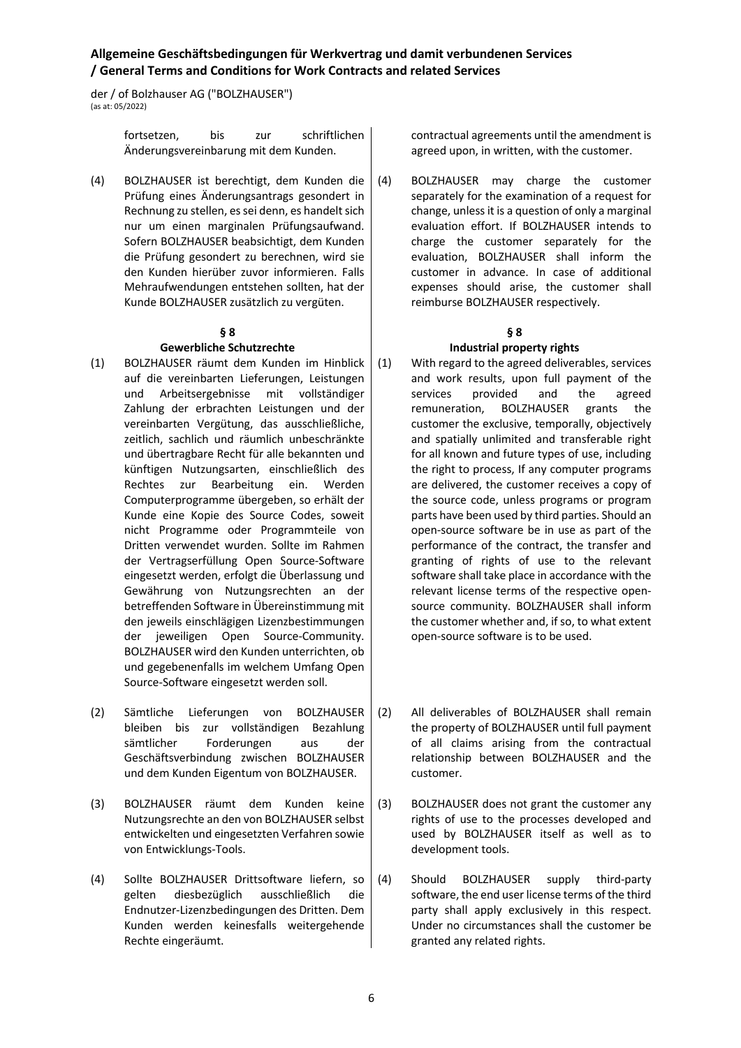der / of Bolzhauser AG ("BOLZHAUSER")  $\frac{1}{2}$  (as at: 05/2022)

> fortsetzen, bis zur schriftlichen Änderungsvereinbarung mit dem Kunden.

(4) BOLZHAUSER ist berechtigt, dem Kunden die Prüfung eines Änderungsantrags gesondert in Rechnung zu stellen, es sei denn, es handelt sich nur um einen marginalen Prüfungsaufwand. Sofern BOLZHAUSER beabsichtigt, dem Kunden die Prüfung gesondert zu berechnen, wird sie den Kunden hierüber zuvor informieren. Falls Mehraufwendungen entstehen sollten, hat der Kunde BOLZHAUSER zusätzlich zu vergüten.

#### **§ 8 Gewerbliche Schutzrechte**

- (1) BOLZHAUSER räumt dem Kunden im Hinblick auf die vereinbarten Lieferungen, Leistungen und Arbeitsergebnisse mit vollständiger Zahlung der erbrachten Leistungen und der vereinbarten Vergütung, das ausschließliche, zeitlich, sachlich und räumlich unbeschränkte und übertragbare Recht für alle bekannten und künftigen Nutzungsarten, einschließlich des Rechtes zur Bearbeitung ein. Werden Computerprogramme übergeben, so erhält der Kunde eine Kopie des Source Codes, soweit nicht Programme oder Programmteile von Dritten verwendet wurden. Sollte im Rahmen der Vertragserfüllung Open Source-Software eingesetzt werden, erfolgt die Überlassung und Gewährung von Nutzungsrechten an der betreffenden Software in Übereinstimmung mit den jeweils einschlägigen Lizenzbestimmungen der jeweiligen Open Source-Community. BOLZHAUSER wird den Kunden unterrichten, ob und gegebenenfalls im welchem Umfang Open Source-Software eingesetzt werden soll.
- (2) Sämtliche Lieferungen von BOLZHAUSER bleiben bis zur vollständigen Bezahlung sämtlicher Forderungen aus der Geschäftsverbindung zwischen BOLZHAUSER und dem Kunden Eigentum von BOLZHAUSER.
- (3) BOLZHAUSER räumt dem Kunden keine Nutzungsrechte an den von BOLZHAUSER selbst entwickelten und eingesetzten Verfahren sowie von Entwicklungs-Tools.
- (4) Sollte BOLZHAUSER Drittsoftware liefern, so gelten diesbezüglich ausschließlich die Endnutzer-Lizenzbedingungen des Dritten. Dem Kunden werden keinesfalls weitergehende Rechte eingeräumt.

contractual agreements until the amendment is agreed upon, in written, with the customer.

(4) BOLZHAUSER may charge the customer separately for the examination of a request for change, unless it is a question of only a marginal evaluation effort. If BOLZHAUSER intends to charge the customer separately for the evaluation, BOLZHAUSER shall inform the customer in advance. In case of additional expenses should arise, the customer shall reimburse BOLZHAUSER respectively.

#### **§ 8**

# **Industrial property rights**

- (1) With regard to the agreed deliverables, services and work results, upon full payment of the services provided and the agreed remuneration, BOLZHAUSER grants the customer the exclusive, temporally, objectively and spatially unlimited and transferable right for all known and future types of use, including the right to process, If any computer programs are delivered, the customer receives a copy of the source code, unless programs or program parts have been used by third parties. Should an open-source software be in use as part of the performance of the contract, the transfer and granting of rights of use to the relevant software shall take place in accordance with the relevant license terms of the respective opensource community. BOLZHAUSER shall inform the customer whether and, if so, to what extent open-source software is to be used.
- (2) All deliverables of BOLZHAUSER shall remain the property of BOLZHAUSER until full payment of all claims arising from the contractual relationship between BOLZHAUSER and the customer.
- (3) BOLZHAUSER does not grant the customer any rights of use to the processes developed and used by BOLZHAUSER itself as well as to development tools.
- (4) Should BOLZHAUSER supply third-party software, the end user license terms of the third party shall apply exclusively in this respect. Under no circumstances shall the customer be granted any related rights.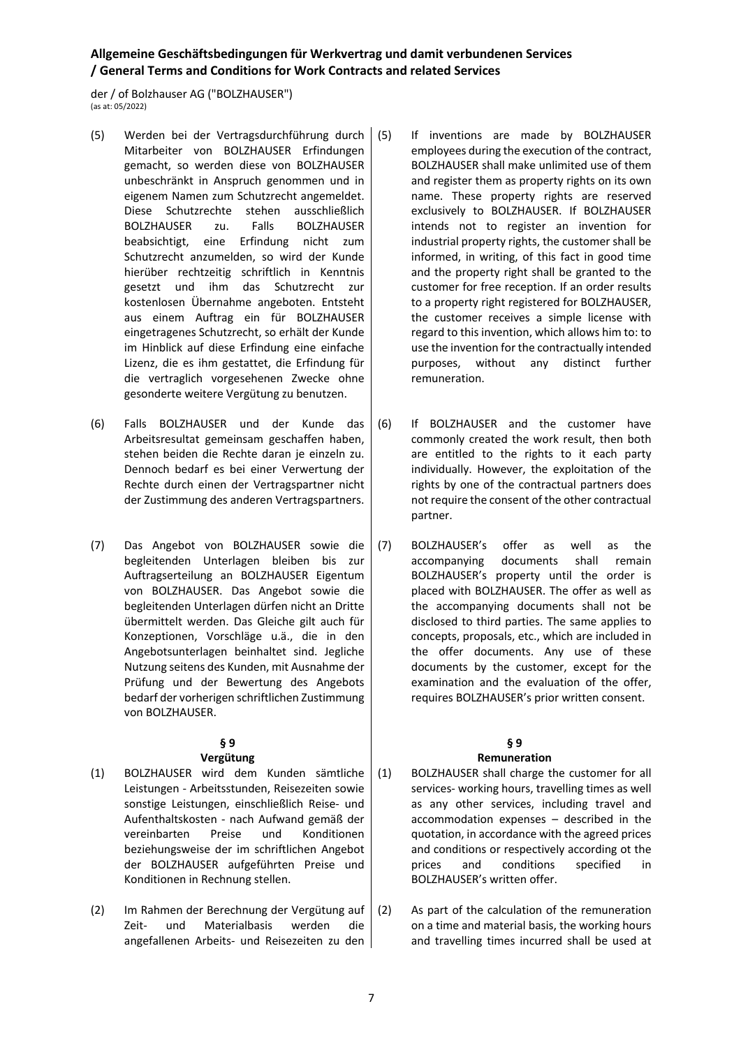der / of Bolzhauser AG ("BOLZHAUSER") (as at: 05/2022)

- (5) Werden bei der Vertragsdurchführung durch Mitarbeiter von BOLZHAUSER Erfindungen gemacht, so werden diese von BOLZHAUSER unbeschränkt in Anspruch genommen und in eigenem Namen zum Schutzrecht angemeldet. Diese Schutzrechte stehen ausschließlich BOLZHAUSER zu. Falls BOLZHAUSER beabsichtigt, eine Erfindung nicht zum Schutzrecht anzumelden, so wird der Kunde hierüber rechtzeitig schriftlich in Kenntnis gesetzt und ihm das Schutzrecht zur kostenlosen Übernahme angeboten. Entsteht aus einem Auftrag ein für BOLZHAUSER eingetragenes Schutzrecht, so erhält der Kunde im Hinblick auf diese Erfindung eine einfache Lizenz, die es ihm gestattet, die Erfindung für die vertraglich vorgesehenen Zwecke ohne gesonderte weitere Vergütung zu benutzen.
- (6) Falls BOLZHAUSER und der Kunde das Arbeitsresultat gemeinsam geschaffen haben, stehen beiden die Rechte daran je einzeln zu. Dennoch bedarf es bei einer Verwertung der Rechte durch einen der Vertragspartner nicht der Zustimmung des anderen Vertragspartners.
- (7) Das Angebot von BOLZHAUSER sowie die begleitenden Unterlagen bleiben bis zur Auftragserteilung an BOLZHAUSER Eigentum von BOLZHAUSER. Das Angebot sowie die begleitenden Unterlagen dürfen nicht an Dritte übermittelt werden. Das Gleiche gilt auch für Konzeptionen, Vorschläge u.ä., die in den Angebotsunterlagen beinhaltet sind. Jegliche Nutzung seitens des Kunden, mit Ausnahme der Prüfung und der Bewertung des Angebots bedarf der vorherigen schriftlichen Zustimmung von BOLZHAUSER.

# **§ 9**

## **Vergütung**

- (1) BOLZHAUSER wird dem Kunden sämtliche Leistungen - Arbeitsstunden, Reisezeiten sowie sonstige Leistungen, einschließlich Reise- und Aufenthaltskosten - nach Aufwand gemäß der vereinbarten Preise und Konditionen beziehungsweise der im schriftlichen Angebot der BOLZHAUSER aufgeführten Preise und Konditionen in Rechnung stellen.
- (2) Im Rahmen der Berechnung der Vergütung auf Zeit- und Materialbasis werden die angefallenen Arbeits- und Reisezeiten zu den
- If inventions are made by BOLZHAUSER employees during the execution of the contract, BOLZHAUSER shall make unlimited use of them and register them as property rights on its own name. These property rights are reserved exclusively to BOLZHAUSER. If BOLZHAUSER intends not to register an invention for industrial property rights, the customer shall be informed, in writing, of this fact in good time and the property right shall be granted to the customer for free reception. If an order results to a property right registered for BOLZHAUSER, the customer receives a simple license with regard to this invention, which allows him to: to use the invention for the contractually intended purposes, without any distinct further remuneration.
- (6) If BOLZHAUSER and the customer have commonly created the work result, then both are entitled to the rights to it each party individually. However, the exploitation of the rights by one of the contractual partners does not require the consent of the other contractual partner.
- (7) BOLZHAUSER's offer as well as the accompanying documents shall remain BOLZHAUSER's property until the order is placed with BOLZHAUSER. The offer as well as the accompanying documents shall not be disclosed to third parties. The same applies to concepts, proposals, etc., which are included in the offer documents. Any use of these documents by the customer, except for the examination and the evaluation of the offer, requires BOLZHAUSER's prior written consent.

#### **§ 9 Remuneration**

- (1) BOLZHAUSER shall charge the customer for all services- working hours, travelling times as well as any other services, including travel and accommodation expenses – described in the quotation, in accordance with the agreed prices and conditions or respectively according ot the prices and conditions specified in BOLZHAUSER's written offer.
- (2) As part of the calculation of the remuneration on a time and material basis, the working hours and travelling times incurred shall be used at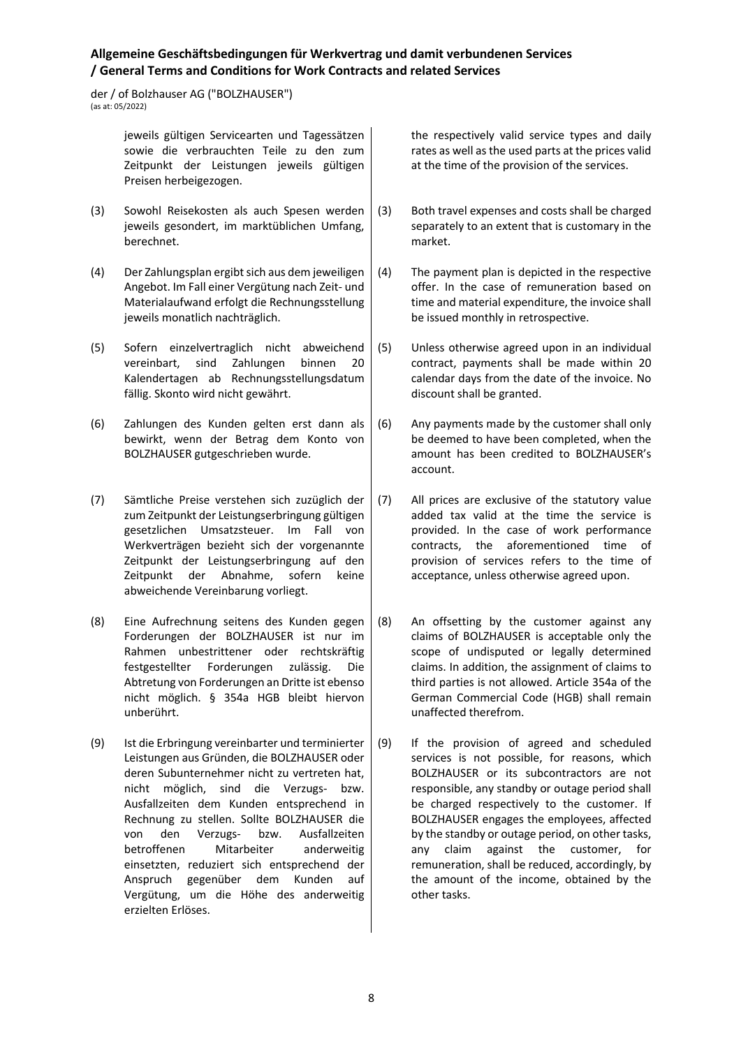der / of Bolzhauser AG ("BOLZHAUSER") (as at: 05/2022)

> jeweils gültigen Servicearten und Tagessätzen sowie die verbrauchten Teile zu den zum Zeitpunkt der Leistungen jeweils gültigen Preisen herbeigezogen.

- (3) Sowohl Reisekosten als auch Spesen werden jeweils gesondert, im marktüblichen Umfang, berechnet.
- (4) Der Zahlungsplan ergibt sich aus dem jeweiligen Angebot. Im Fall einer Vergütung nach Zeit- und Materialaufwand erfolgt die Rechnungsstellung jeweils monatlich nachträglich.
- (5) Sofern einzelvertraglich nicht abweichend vereinbart, sind Zahlungen binnen 20 Kalendertagen ab Rechnungsstellungsdatum fällig. Skonto wird nicht gewährt.
- (6) Zahlungen des Kunden gelten erst dann als bewirkt, wenn der Betrag dem Konto von BOLZHAUSER gutgeschrieben wurde.
- (7) Sämtliche Preise verstehen sich zuzüglich der zum Zeitpunkt der Leistungserbringung gültigen gesetzlichen Umsatzsteuer. Im Fall von Werkverträgen bezieht sich der vorgenannte Zeitpunkt der Leistungserbringung auf den Zeitpunkt der Abnahme, sofern keine abweichende Vereinbarung vorliegt.
- (8) Eine Aufrechnung seitens des Kunden gegen Forderungen der BOLZHAUSER ist nur im Rahmen unbestrittener oder rechtskräftig festgestellter Forderungen zulässig. Die Abtretung von Forderungen an Dritte ist ebenso nicht möglich. § 354a HGB bleibt hiervon unberührt.
- (9) Ist die Erbringung vereinbarter und terminierter Leistungen aus Gründen, die BOLZHAUSER oder deren Subunternehmer nicht zu vertreten hat, nicht möglich, sind die Verzugs- bzw. Ausfallzeiten dem Kunden entsprechend in Rechnung zu stellen. Sollte BOLZHAUSER die von den Verzugs- bzw. Ausfallzeiten betroffenen Mitarbeiter anderweitig einsetzten, reduziert sich entsprechend der Anspruch gegenüber dem Kunden auf Vergütung, um die Höhe des anderweitig erzielten Erlöses.

the respectively valid service types and daily rates as well as the used parts at the prices valid at the time of the provision of the services.

- (3) Both travel expenses and costs shall be charged separately to an extent that is customary in the market.
- (4) The payment plan is depicted in the respective offer. In the case of remuneration based on time and material expenditure, the invoice shall be issued monthly in retrospective.
- (5) Unless otherwise agreed upon in an individual contract, payments shall be made within 20 calendar days from the date of the invoice. No discount shall be granted.
- (6) Any payments made by the customer shall only be deemed to have been completed, when the amount has been credited to BOLZHAUSER's account.
- (7) All prices are exclusive of the statutory value added tax valid at the time the service is provided. In the case of work performance contracts, the aforementioned time of provision of services refers to the time of acceptance, unless otherwise agreed upon.
- (8) An offsetting by the customer against any claims of BOLZHAUSER is acceptable only the scope of undisputed or legally determined claims. In addition, the assignment of claims to third parties is not allowed. Article 354a of the German Commercial Code (HGB) shall remain unaffected therefrom.
- (9) If the provision of agreed and scheduled services is not possible, for reasons, which BOLZHAUSER or its subcontractors are not responsible, any standby or outage period shall be charged respectively to the customer. If BOLZHAUSER engages the employees, affected by the standby or outage period, on other tasks, any claim against the customer, for remuneration, shall be reduced, accordingly, by the amount of the income, obtained by the other tasks.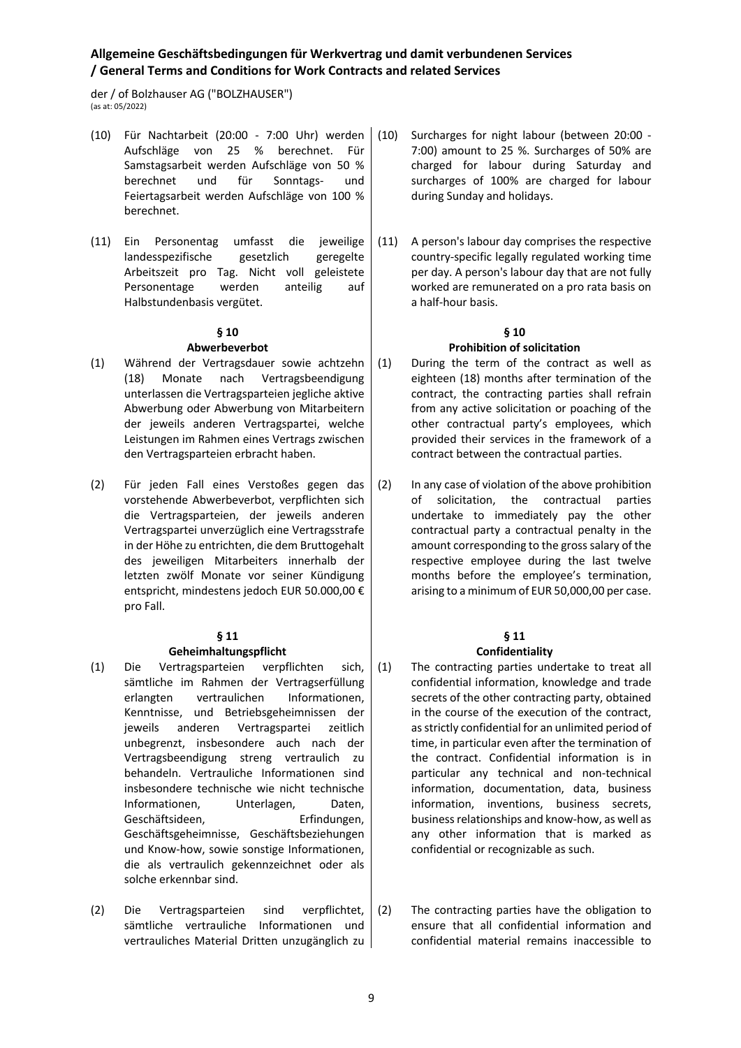der / of Bolzhauser AG ("BOLZHAUSER") (as at: 05/2022)

- (10) Für Nachtarbeit (20:00 7:00 Uhr) werden Aufschläge von 25 % berechnet. Für Samstagsarbeit werden Aufschläge von 50 % berechnet und für Sonntags- und Feiertagsarbeit werden Aufschläge von 100 % berechnet.
- (11) Ein Personentag umfasst die jeweilige landesspezifische gesetzlich geregelte Arbeitszeit pro Tag. Nicht voll geleistete Personentage werden anteilig auf Halbstundenbasis vergütet.

#### **§ 10 Abwerbeverbot**

- (1) Während der Vertragsdauer sowie achtzehn (18) Monate nach Vertragsbeendigung unterlassen die Vertragsparteien jegliche aktive Abwerbung oder Abwerbung von Mitarbeitern der jeweils anderen Vertragspartei, welche Leistungen im Rahmen eines Vertrags zwischen den Vertragsparteien erbracht haben.
- (2) Für jeden Fall eines Verstoßes gegen das vorstehende Abwerbeverbot, verpflichten sich die Vertragsparteien, der jeweils anderen Vertragspartei unverzüglich eine Vertragsstrafe in der Höhe zu entrichten, die dem Bruttogehalt des jeweiligen Mitarbeiters innerhalb der letzten zwölf Monate vor seiner Kündigung entspricht, mindestens jedoch EUR 50.000,00 € pro Fall.

### **§ 11**

### **Geheimhaltungspflicht**

- (1) Die Vertragsparteien verpflichten sich, sämtliche im Rahmen der Vertragserfüllung erlangten vertraulichen Informationen, Kenntnisse, und Betriebsgeheimnissen der jeweils anderen Vertragspartei zeitlich unbegrenzt, insbesondere auch nach der Vertragsbeendigung streng vertraulich zu behandeln. Vertrauliche Informationen sind insbesondere technische wie nicht technische Informationen, Unterlagen, Daten, Geschäftsideen, Erfindungen, Geschäftsgeheimnisse, Geschäftsbeziehungen und Know-how, sowie sonstige Informationen, die als vertraulich gekennzeichnet oder als solche erkennbar sind.
- (2) Die Vertragsparteien sind verpflichtet, sämtliche vertrauliche Informationen und vertrauliches Material Dritten unzugänglich zu
- Surcharges for night labour (between 20:00 -7:00) amount to 25 %. Surcharges of 50% are charged for labour during Saturday and surcharges of 100% are charged for labour during Sunday and holidays.
- (11) A person's labour day comprises the respective country-specific legally regulated working time per day. A person's labour day that are not fully worked are remunerated on a pro rata basis on a half-hour basis.

## **§ 10 Prohibition of solicitation**

- (1) During the term of the contract as well as eighteen (18) months after termination of the contract, the contracting parties shall refrain from any active solicitation or poaching of the other contractual party's employees, which provided their services in the framework of a contract between the contractual parties.
- (2) In any case of violation of the above prohibition of solicitation, the contractual parties undertake to immediately pay the other contractual party a contractual penalty in the amount corresponding to the gross salary of the respective employee during the last twelve months before the employee's termination, arising to a minimum of EUR 50,000,00 per case.

# **§ 11**

### **Confidentiality**

- (1) The contracting parties undertake to treat all confidential information, knowledge and trade secrets of the other contracting party, obtained in the course of the execution of the contract, as strictly confidential for an unlimited period of time, in particular even after the termination of the contract. Confidential information is in particular any technical and non-technical information, documentation, data, business information, inventions, business secrets, business relationships and know-how, as well as any other information that is marked as confidential or recognizable as such.
- (2) The contracting parties have the obligation to ensure that all confidential information and confidential material remains inaccessible to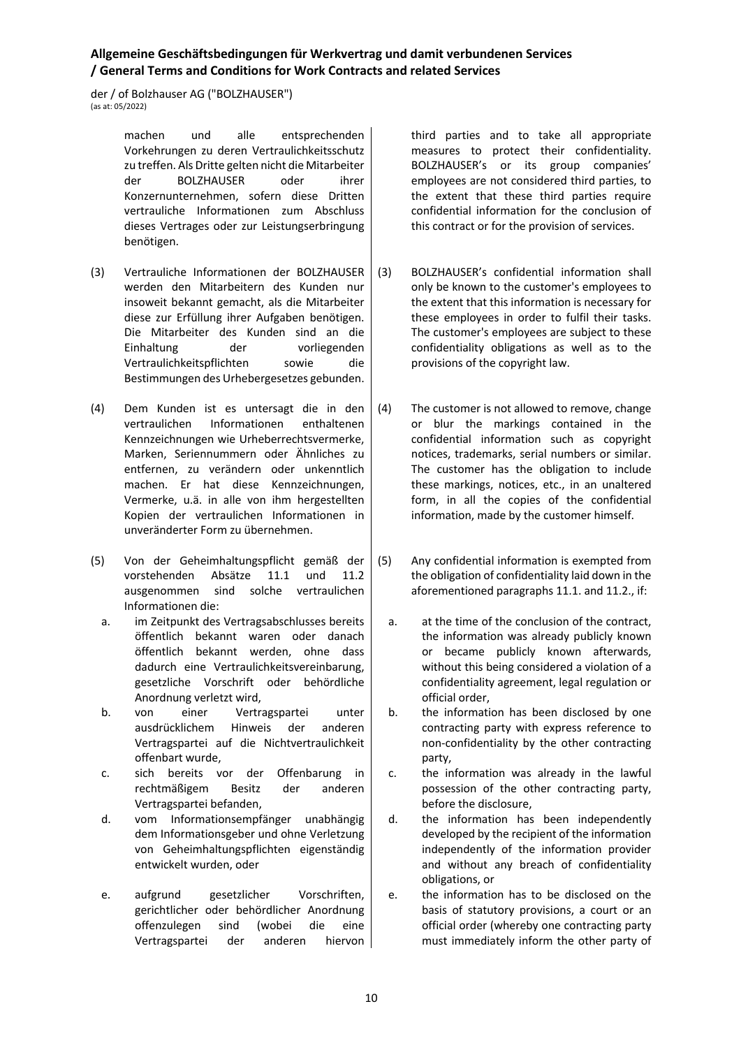der / of Bolzhauser AG ("BOLZHAUSER")  $\frac{1}{2}$  (as at: 05/2022)

> machen und alle entsprechenden Vorkehrungen zu deren Vertraulichkeitsschutz zu treffen. Als Dritte gelten nicht die Mitarbeiter der BOLZHAUSER oder ihrer Konzernunternehmen, sofern diese Dritten vertrauliche Informationen zum Abschluss dieses Vertrages oder zur Leistungserbringung benötigen.

- (3) Vertrauliche Informationen der BOLZHAUSER werden den Mitarbeitern des Kunden nur insoweit bekannt gemacht, als die Mitarbeiter diese zur Erfüllung ihrer Aufgaben benötigen. Die Mitarbeiter des Kunden sind an die Einhaltung der vorliegenden Vertraulichkeitspflichten sowie die Bestimmungen des Urhebergesetzes gebunden.
- (4) Dem Kunden ist es untersagt die in den vertraulichen Informationen enthaltenen Kennzeichnungen wie Urheberrechtsvermerke, Marken, Seriennummern oder Ähnliches zu entfernen, zu verändern oder unkenntlich machen. Er hat diese Kennzeichnungen, Vermerke, u.ä. in alle von ihm hergestellten Kopien der vertraulichen Informationen in unveränderter Form zu übernehmen.
- (5) Von der Geheimhaltungspflicht gemäß der vorstehenden Absätze 11.1 und 11.2 ausgenommen sind solche vertraulichen Informationen die:
	- a. im Zeitpunkt des Vertragsabschlusses bereits öffentlich bekannt waren oder danach öffentlich bekannt werden, ohne dass dadurch eine Vertraulichkeitsvereinbarung, gesetzliche Vorschrift oder behördliche Anordnung verletzt wird,
	- b. von einer Vertragspartei unter ausdrücklichem Hinweis der anderen Vertragspartei auf die Nichtvertraulichkeit offenbart wurde,
	- c. sich bereits vor der Offenbarung in rechtmäßigem Besitz der anderen Vertragspartei befanden,
	- d. vom Informationsempfänger unabhängig dem Informationsgeber und ohne Verletzung von Geheimhaltungspflichten eigenständig entwickelt wurden, oder
	- e. aufgrund gesetzlicher Vorschriften, gerichtlicher oder behördlicher Anordnung offenzulegen sind (wobei die eine Vertragspartei der anderen hiervon

third parties and to take all appropriate measures to protect their confidentiality. BOLZHAUSER's or its group companies' employees are not considered third parties, to the extent that these third parties require confidential information for the conclusion of this contract or for the provision of services.

- (3) BOLZHAUSER's confidential information shall only be known to the customer's employees to the extent that this information is necessary for these employees in order to fulfil their tasks. The customer's employees are subject to these confidentiality obligations as well as to the provisions of the copyright law.
- (4) The customer is not allowed to remove, change or blur the markings contained in the confidential information such as copyright notices, trademarks, serial numbers or similar. The customer has the obligation to include these markings, notices, etc., in an unaltered form, in all the copies of the confidential information, made by the customer himself.
- (5) Any confidential information is exempted from the obligation of confidentiality laid down in the aforementioned paragraphs 11.1. and 11.2., if:
	- a. at the time of the conclusion of the contract, the information was already publicly known or became publicly known afterwards, without this being considered a violation of a confidentiality agreement, legal regulation or official order,
	- b. the information has been disclosed by one contracting party with express reference to non-confidentiality by the other contracting party,
	- c. the information was already in the lawful possession of the other contracting party, before the disclosure,
	- d. the information has been independently developed by the recipient of the information independently of the information provider and without any breach of confidentiality obligations, or
	- e. the information has to be disclosed on the basis of statutory provisions, a court or an official order (whereby one contracting party must immediately inform the other party of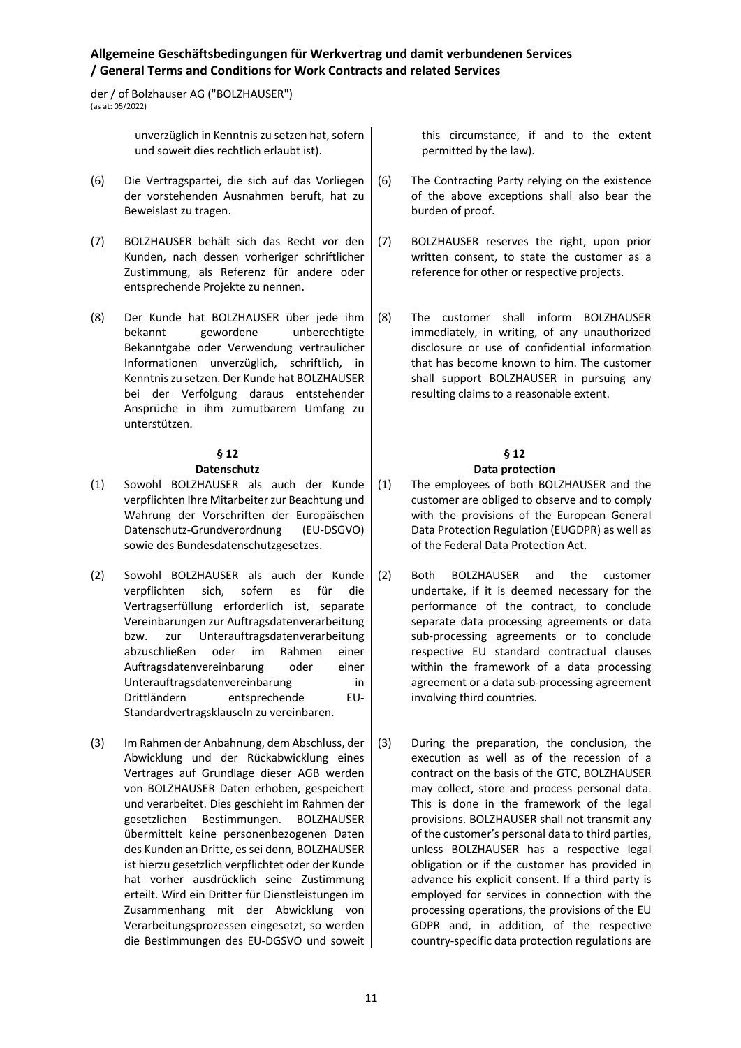der / of Bolzhauser AG ("BOLZHAUSER") (as at: 05/2022)

> unverzüglich in Kenntnis zu setzen hat, sofern und soweit dies rechtlich erlaubt ist).

- (6) Die Vertragspartei, die sich auf das Vorliegen der vorstehenden Ausnahmen beruft, hat zu Beweislast zu tragen.
- (7) BOLZHAUSER behält sich das Recht vor den Kunden, nach dessen vorheriger schriftlicher Zustimmung, als Referenz für andere oder entsprechende Projekte zu nennen.
- (8) Der Kunde hat BOLZHAUSER über jede ihm bekannt gewordene unberechtigte Bekanntgabe oder Verwendung vertraulicher Informationen unverzüglich, schriftlich, in Kenntnis zu setzen. Der Kunde hat BOLZHAUSER bei der Verfolgung daraus entstehender Ansprüche in ihm zumutbarem Umfang zu unterstützen.

# **§ 12**

## **Datenschutz**

- (1) Sowohl BOLZHAUSER als auch der Kunde verpflichten Ihre Mitarbeiter zur Beachtung und Wahrung der Vorschriften der Europäischen Datenschutz-Grundverordnung (EU-DSGVO) sowie des Bundesdatenschutzgesetzes.
- (2) Sowohl BOLZHAUSER als auch der Kunde verpflichten sich, sofern es für die Vertragserfüllung erforderlich ist, separate Vereinbarungen zur Auftragsdatenverarbeitung bzw. zur Unterauftragsdatenverarbeitung abzuschließen oder im Rahmen einer Auftragsdatenvereinbarung oder einer Unterauftragsdatenvereinbarung in Drittländern entsprechende EU-Standardvertragsklauseln zu vereinbaren.
- (3) Im Rahmen der Anbahnung, dem Abschluss, der Abwicklung und der Rückabwicklung eines Vertrages auf Grundlage dieser AGB werden von BOLZHAUSER Daten erhoben, gespeichert und verarbeitet. Dies geschieht im Rahmen der gesetzlichen Bestimmungen. BOLZHAUSER übermittelt keine personenbezogenen Daten des Kunden an Dritte, es sei denn, BOLZHAUSER ist hierzu gesetzlich verpflichtet oder der Kunde hat vorher ausdrücklich seine Zustimmung erteilt. Wird ein Dritter für Dienstleistungen im Zusammenhang mit der Abwicklung von Verarbeitungsprozessen eingesetzt, so werden die Bestimmungen des EU-DGSVO und soweit

this circumstance, if and to the extent permitted by the law).

- (6) The Contracting Party relying on the existence of the above exceptions shall also bear the burden of proof.
- (7) BOLZHAUSER reserves the right, upon prior written consent, to state the customer as a reference for other or respective projects.
- (8) The customer shall inform BOLZHAUSER immediately, in writing, of any unauthorized disclosure or use of confidential information that has become known to him. The customer shall support BOLZHAUSER in pursuing any resulting claims to a reasonable extent.

#### **§ 12 Data protection**

### (1) The employees of both BOLZHAUSER and the customer are obliged to observe and to comply with the provisions of the European General Data Protection Regulation (EUGDPR) as well as of the Federal Data Protection Act.

- (2) Both BOLZHAUSER and the customer undertake, if it is deemed necessary for the performance of the contract, to conclude separate data processing agreements or data sub-processing agreements or to conclude respective EU standard contractual clauses within the framework of a data processing agreement or a data sub-processing agreement involving third countries.
- (3) During the preparation, the conclusion, the execution as well as of the recession of a contract on the basis of the GTC, BOLZHAUSER may collect, store and process personal data. This is done in the framework of the legal provisions. BOLZHAUSER shall not transmit any of the customer's personal data to third parties, unless BOLZHAUSER has a respective legal obligation or if the customer has provided in advance his explicit consent. If a third party is employed for services in connection with the processing operations, the provisions of the EU GDPR and, in addition, of the respective country-specific data protection regulations are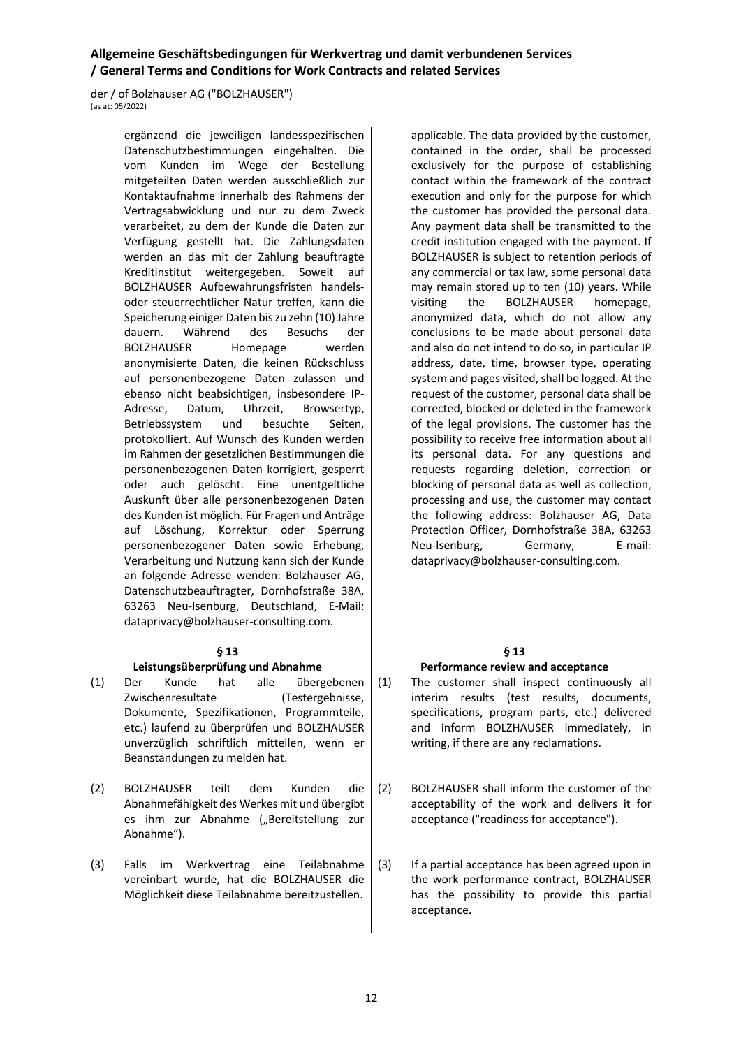der / of Bolzhauser AG ("BOLZHAUSER")  $(\text{ac at: } 05/2022)$ 

> ergänzend die jeweiligen landesspezifischen Datenschutzbestimmungen eingehalten. Die vom Kunden im Wege der Bestellung mitgeteilten Daten werden ausschließlich zur Kontaktaufnahme innerhalb des Rahmens der Vertragsabwicklung und nur zu dem Zweck verarbeitet, zu dem der Kunde die Daten zur Verfügung gestellt hat. Die Zahlungsdaten werden an das mit der Zahlung beauftragte Kreditinstitut weitergegeben. Soweit auf BOLZHAUSER Aufbewahrungsfristen handelsoder steuerrechtlicher Natur treffen, kann die Speicherung einiger Daten bis zu zehn (10) Jahre dauern. Während des Besuchs der BOLZHAUSER Homepage werden anonymisierte Daten, die keinen Rückschluss auf personenbezogene Daten zulassen und ebenso nicht beabsichtigen, insbesondere IP-Adresse, Datum, Uhrzeit, Browsertyp, Betriebssystem und besuchte Seiten, protokolliert. Auf Wunsch des Kunden werden im Rahmen der gesetzlichen Bestimmungen die personenbezogenen Daten korrigiert, gesperrt oder auch gelöscht. Eine unentgeltliche Auskunft über alle personenbezogenen Daten des Kunden ist möglich. Für Fragen und Anträge auf Löschung, Korrektur oder Sperrung personenbezogener Daten sowie Erhebung, Verarbeitung und Nutzung kann sich der Kunde an folgende Adresse wenden: Bolzhauser AG, Datenschutzbeauftragter, Dornhofstraße 38A, 63263 Neu-Isenburg, Deutschland, E-Mail: dataprivacy@bolzhauser-consulting.com.

#### **§ 13**

#### **Leistungsüberprüfung und Abnahme**

- (1) Der Kunde hat alle übergebenen Zwischenresultate (Testergebnisse, Dokumente, Spezifikationen, Programmteile, etc.) laufend zu überprüfen und BOLZHAUSER unverzüglich schriftlich mitteilen, wenn er Beanstandungen zu melden hat.
- (2) BOLZHAUSER teilt dem Kunden die Abnahmefähigkeit des Werkes mit und übergibt es ihm zur Abnahme ("Bereitstellung zur Abnahme").
- (3) Falls im Werkvertrag eine Teilabnahme vereinbart wurde, hat die BOLZHAUSER die Möglichkeit diese Teilabnahme bereitzustellen.

applicable. The data provided by the customer, contained in the order, shall be processed exclusively for the purpose of establishing contact within the framework of the contract execution and only for the purpose for which the customer has provided the personal data. Any payment data shall be transmitted to the credit institution engaged with the payment. If BOLZHAUSER is subject to retention periods of any commercial or tax law, some personal data may remain stored up to ten (10) years. While visiting the BOLZHAUSER homepage, anonymized data, which do not allow any conclusions to be made about personal data and also do not intend to do so, in particular IP address, date, time, browser type, operating system and pages visited, shall be logged. At the request of the customer, personal data shall be corrected, blocked or deleted in the framework of the legal provisions. The customer has the possibility to receive free information about all its personal data. For any questions and requests regarding deletion, correction or blocking of personal data as well as collection, processing and use, the customer may contact the following address: Bolzhauser AG, Data Protection Officer, Dornhofstraße 38A, 63263 Neu-Isenburg, Germany, E-mail: dataprivacy@bolzhauser-consulting.com.

## **§ 13**

#### **Performance review and acceptance**

- (1) The customer shall inspect continuously all interim results (test results, documents, specifications, program parts, etc.) delivered and inform BOLZHAUSER immediately, in writing, if there are any reclamations.
- (2) BOLZHAUSER shall inform the customer of the acceptability of the work and delivers it for acceptance ("readiness for acceptance").
- (3) If a partial acceptance has been agreed upon in the work performance contract, BOLZHAUSER has the possibility to provide this partial acceptance.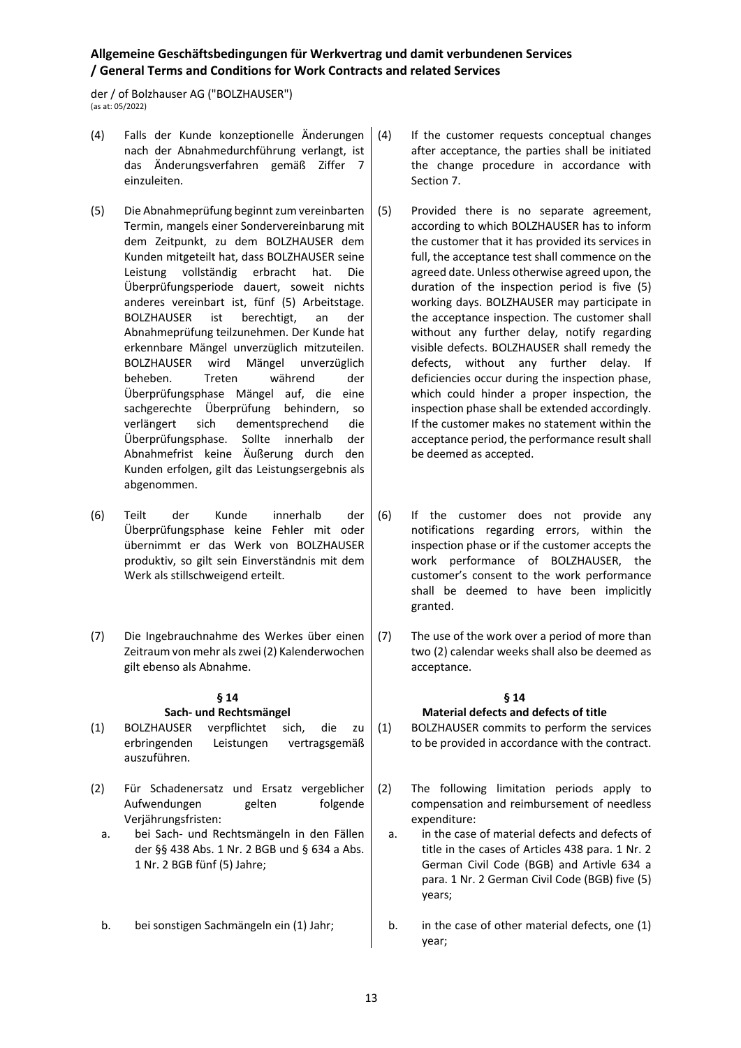der / of Bolzhauser AG ("BOLZHAUSER") (as at: 05/2022)

- (4) Falls der Kunde konzeptionelle Änderungen nach der Abnahmedurchführung verlangt, ist das Änderungsverfahren gemäß Ziffer 7 einzuleiten.
- (5) Die Abnahmeprüfung beginnt zum vereinbarten Termin, mangels einer Sondervereinbarung mit dem Zeitpunkt, zu dem BOLZHAUSER dem Kunden mitgeteilt hat, dass BOLZHAUSER seine Leistung vollständig erbracht hat. Die Überprüfungsperiode dauert, soweit nichts anderes vereinbart ist, fünf (5) Arbeitstage. BOLZHAUSER ist berechtigt, an der Abnahmeprüfung teilzunehmen. Der Kunde hat erkennbare Mängel unverzüglich mitzuteilen. BOLZHAUSER wird Mängel unverzüglich beheben. Treten während der Überprüfungsphase Mängel auf, die eine sachgerechte Überprüfung behindern, so verlängert sich dementsprechend die Überprüfungsphase. Sollte innerhalb der Abnahmefrist keine Äußerung durch den Kunden erfolgen, gilt das Leistungsergebnis als abgenommen.
- (6) Teilt der Kunde innerhalb der Überprüfungsphase keine Fehler mit oder übernimmt er das Werk von BOLZHAUSER produktiv, so gilt sein Einverständnis mit dem Werk als stillschweigend erteilt.
- (7) Die Ingebrauchnahme des Werkes über einen Zeitraum von mehr als zwei (2) Kalenderwochen gilt ebenso als Abnahme.

# **§ 14 Sach- und Rechtsmängel**

- (1) BOLZHAUSER verpflichtet sich, die zu erbringenden Leistungen vertragsgemäß auszuführen.
- (2) Für Schadenersatz und Ersatz vergeblicher Aufwendungen gelten folgende Verjährungsfristen:
	- a. bei Sach- und Rechtsmängeln in den Fällen der §§ 438 Abs. 1 Nr. 2 BGB und § 634 a Abs. 1 Nr. 2 BGB fünf (5) Jahre;
	- b. bei sonstigen Sachmängeln ein (1) Jahr;
- If the customer requests conceptual changes after acceptance, the parties shall be initiated the change procedure in accordance with Section 7.
- (5) Provided there is no separate agreement, according to which BOLZHAUSER has to inform the customer that it has provided its services in full, the acceptance test shall commence on the agreed date. Unless otherwise agreed upon, the duration of the inspection period is five (5) working days. BOLZHAUSER may participate in the acceptance inspection. The customer shall without any further delay, notify regarding visible defects. BOLZHAUSER shall remedy the defects, without any further delay. If deficiencies occur during the inspection phase, which could hinder a proper inspection, the inspection phase shall be extended accordingly. If the customer makes no statement within the acceptance period, the performance result shall be deemed as accepted.
- (6) If the customer does not provide any notifications regarding errors, within the inspection phase or if the customer accepts the work performance of BOLZHAUSER, the customer's consent to the work performance shall be deemed to have been implicitly granted.
- (7) The use of the work over a period of more than two (2) calendar weeks shall also be deemed as acceptance.

#### **§ 14 Material defects and defects of title**

(1) BOLZHAUSER commits to perform the services to be provided in accordance with the contract.

- (2) The following limitation periods apply to compensation and reimbursement of needless expenditure:
	- a. in the case of material defects and defects of title in the cases of Articles 438 para. 1 Nr. 2 German Civil Code (BGB) and Artivle 634 a para. 1 Nr. 2 German Civil Code (BGB) five (5) years;
	- b. in the case of other material defects, one (1) year;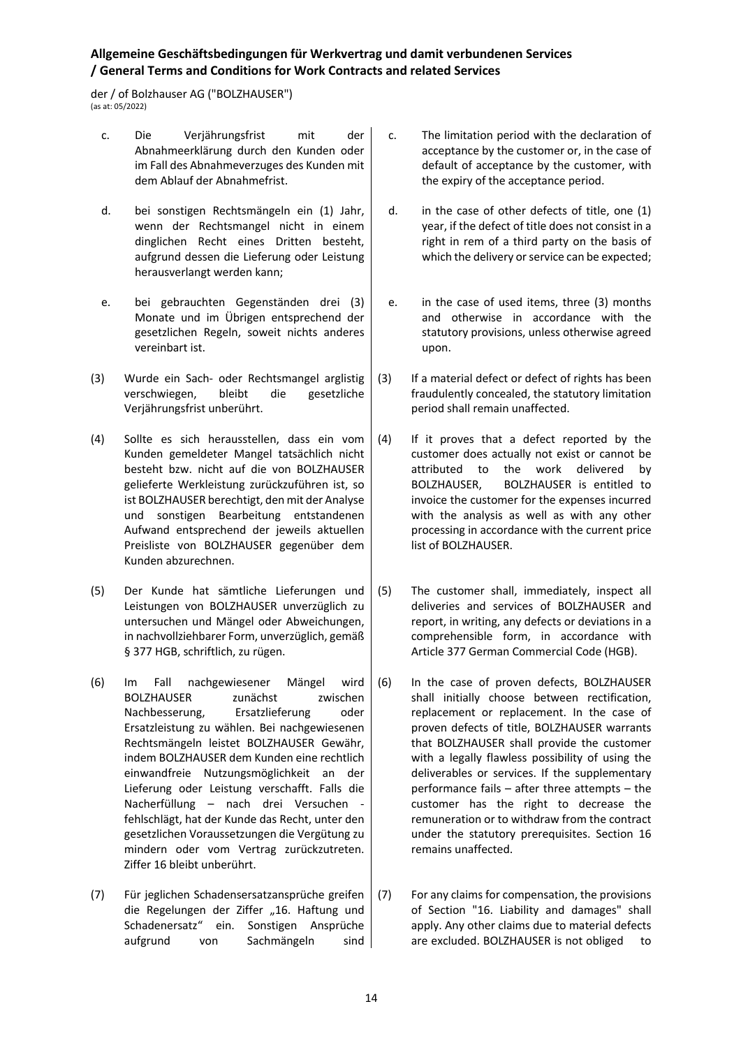der / of Bolzhauser AG ("BOLZHAUSER") (as at: 05/2022)

- c. Die Verjährungsfrist mit der Abnahmeerklärung durch den Kunden oder im Fall des Abnahmeverzuges des Kunden mit dem Ablauf der Abnahmefrist.
- d. bei sonstigen Rechtsmängeln ein (1) Jahr, wenn der Rechtsmangel nicht in einem dinglichen Recht eines Dritten besteht, aufgrund dessen die Lieferung oder Leistung herausverlangt werden kann;
- e. bei gebrauchten Gegenständen drei (3) Monate und im Übrigen entsprechend der gesetzlichen Regeln, soweit nichts anderes vereinbart ist.
- (3) Wurde ein Sach- oder Rechtsmangel arglistig verschwiegen, bleibt die gesetzliche Verjährungsfrist unberührt.
- (4) Sollte es sich herausstellen, dass ein vom Kunden gemeldeter Mangel tatsächlich nicht besteht bzw. nicht auf die von BOLZHAUSER gelieferte Werkleistung zurückzuführen ist, so ist BOLZHAUSER berechtigt, den mit der Analyse und sonstigen Bearbeitung entstandenen Aufwand entsprechend der jeweils aktuellen Preisliste von BOLZHAUSER gegenüber dem Kunden abzurechnen.
- (5) Der Kunde hat sämtliche Lieferungen und Leistungen von BOLZHAUSER unverzüglich zu untersuchen und Mängel oder Abweichungen, in nachvollziehbarer Form, unverzüglich, gemäß § 377 HGB, schriftlich, zu rügen.
- (6) Im Fall nachgewiesener Mängel wird BOLZHAUSER zunächst zwischen Nachbesserung, Ersatzlieferung oder Ersatzleistung zu wählen. Bei nachgewiesenen Rechtsmängeln leistet BOLZHAUSER Gewähr, indem BOLZHAUSER dem Kunden eine rechtlich einwandfreie Nutzungsmöglichkeit an der Lieferung oder Leistung verschafft. Falls die Nacherfüllung – nach drei Versuchen fehlschlägt, hat der Kunde das Recht, unter den gesetzlichen Voraussetzungen die Vergütung zu mindern oder vom Vertrag zurückzutreten. Ziffer 16 bleibt unberührt.
- (7) Für jeglichen Schadensersatzansprüche greifen die Regelungen der Ziffer "16. Haftung und Schadenersatz" ein. Sonstigen Ansprüche aufgrund von Sachmängeln sind
- c. The limitation period with the declaration of acceptance by the customer or, in the case of default of acceptance by the customer, with the expiry of the acceptance period.
- d. in the case of other defects of title, one (1) year, if the defect of title does not consist in a right in rem of a third party on the basis of which the delivery or service can be expected;
- e. in the case of used items, three (3) months and otherwise in accordance with the statutory provisions, unless otherwise agreed upon.
- (3) If a material defect or defect of rights has been fraudulently concealed, the statutory limitation period shall remain unaffected.
- (4) If it proves that a defect reported by the customer does actually not exist or cannot be attributed to the work delivered by BOLZHAUSER, BOLZHAUSER is entitled to invoice the customer for the expenses incurred with the analysis as well as with any other processing in accordance with the current price list of BOLZHAUSER.
- (5) The customer shall, immediately, inspect all deliveries and services of BOLZHAUSER and report, in writing, any defects or deviations in a comprehensible form, in accordance with Article 377 German Commercial Code (HGB).
- (6) In the case of proven defects, BOLZHAUSER shall initially choose between rectification, replacement or replacement. In the case of proven defects of title, BOLZHAUSER warrants that BOLZHAUSER shall provide the customer with a legally flawless possibility of using the deliverables or services. If the supplementary performance fails – after three attempts – the customer has the right to decrease the remuneration or to withdraw from the contract under the statutory prerequisites. Section 16 remains unaffected.
- (7) For any claims for compensation, the provisions of Section "16. Liability and damages" shall apply. Any other claims due to material defects are excluded. BOLZHAUSER is not obliged to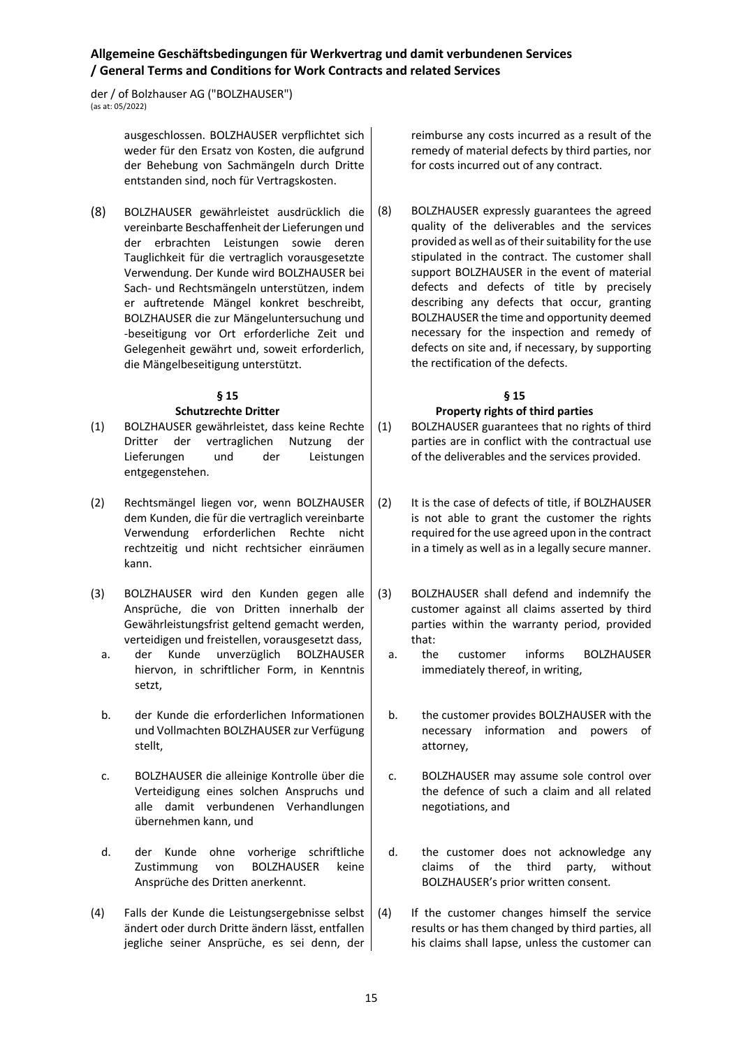der / of Bolzhauser AG ("BOLZHAUSER") (as at: 05/2022)

> ausgeschlossen. BOLZHAUSER verpflichtet sich weder für den Ersatz von Kosten, die aufgrund der Behebung von Sachmängeln durch Dritte entstanden sind, noch für Vertragskosten.

(8) BOLZHAUSER gewährleistet ausdrücklich die vereinbarte Beschaffenheit der Lieferungen und der erbrachten Leistungen sowie deren Tauglichkeit für die vertraglich vorausgesetzte Verwendung. Der Kunde wird BOLZHAUSER bei Sach- und Rechtsmängeln unterstützen, indem er auftretende Mängel konkret beschreibt, BOLZHAUSER die zur Mängeluntersuchung und -beseitigung vor Ort erforderliche Zeit und Gelegenheit gewährt und, soweit erforderlich, die Mängelbeseitigung unterstützt.

# **§ 15**

### **Schutzrechte Dritter**

- (1) BOLZHAUSER gewährleistet, dass keine Rechte Dritter der vertraglichen Nutzung der Lieferungen und der Leistungen entgegenstehen.
- (2) Rechtsmängel liegen vor, wenn BOLZHAUSER dem Kunden, die für die vertraglich vereinbarte Verwendung erforderlichen Rechte nicht rechtzeitig und nicht rechtsicher einräumen kann.
- (3) BOLZHAUSER wird den Kunden gegen alle Ansprüche, die von Dritten innerhalb der Gewährleistungsfrist geltend gemacht werden, verteidigen und freistellen, vorausgesetzt dass,
	- a. der Kunde unverzüglich BOLZHAUSER hiervon, in schriftlicher Form, in Kenntnis setzt,
	- b. der Kunde die erforderlichen Informationen und Vollmachten BOLZHAUSER zur Verfügung stellt,
	- c. BOLZHAUSER die alleinige Kontrolle über die Verteidigung eines solchen Anspruchs und alle damit verbundenen Verhandlungen übernehmen kann, und
	- d. der Kunde ohne vorherige schriftliche Zustimmung von BOLZHAUSER keine Ansprüche des Dritten anerkennt.
- (4) Falls der Kunde die Leistungsergebnisse selbst ändert oder durch Dritte ändern lässt, entfallen jegliche seiner Ansprüche, es sei denn, der

reimburse any costs incurred as a result of the remedy of material defects by third parties, nor for costs incurred out of any contract.

(8) BOLZHAUSER expressly guarantees the agreed quality of the deliverables and the services provided as well as of their suitability for the use stipulated in the contract. The customer shall support BOLZHAUSER in the event of material defects and defects of title by precisely describing any defects that occur, granting BOLZHAUSER the time and opportunity deemed necessary for the inspection and remedy of defects on site and, if necessary, by supporting the rectification of the defects.

#### **§ 15 Property rights of third parties**

- (1) BOLZHAUSER guarantees that no rights of third parties are in conflict with the contractual use of the deliverables and the services provided.
- (2) It is the case of defects of title, if BOLZHAUSER is not able to grant the customer the rights required for the use agreed upon in the contract in a timely as well as in a legally secure manner.
- (3) BOLZHAUSER shall defend and indemnify the customer against all claims asserted by third parties within the warranty period, provided that:
	- a. the customer informs BOLZHAUSER immediately thereof, in writing,
	- b. the customer provides BOLZHAUSER with the necessary information and powers of attorney,
	- c. BOLZHAUSER may assume sole control over the defence of such a claim and all related negotiations, and
	- d. the customer does not acknowledge any claims of the third party, without BOLZHAUSER's prior written consent.
- (4) If the customer changes himself the service results or has them changed by third parties, all his claims shall lapse, unless the customer can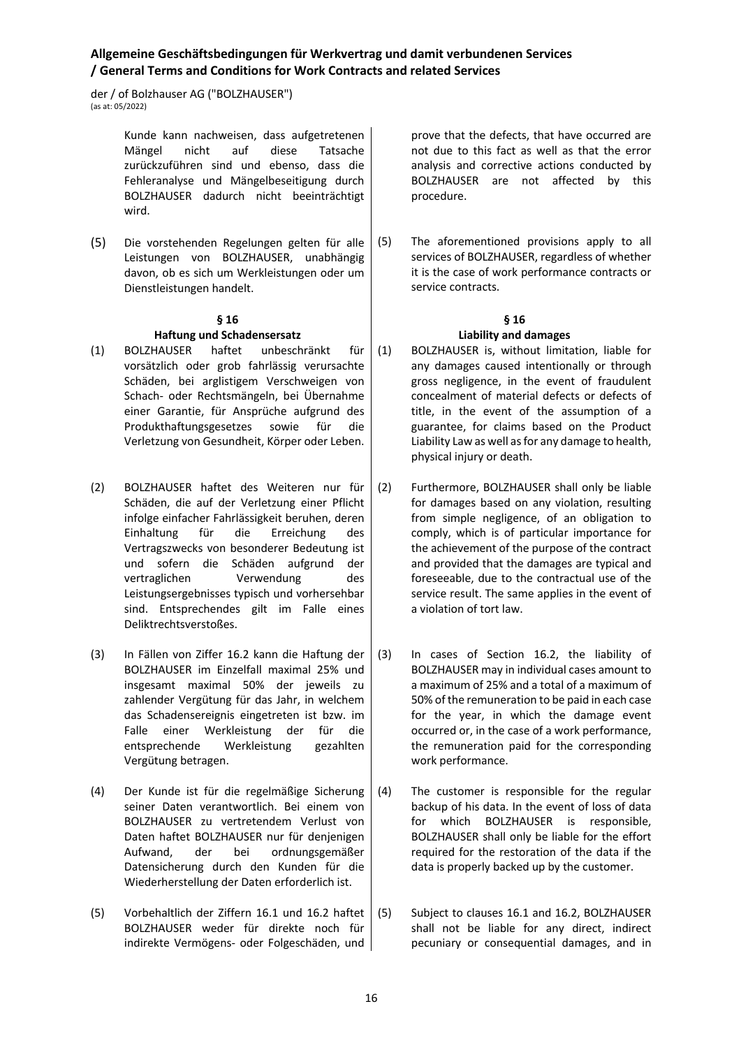der / of Bolzhauser AG ("BOLZHAUSER")  $\frac{1}{2}$  (as at: 05/2022)

> Kunde kann nachweisen, dass aufgetretenen Mängel nicht auf diese Tatsache zurückzuführen sind und ebenso, dass die Fehleranalyse und Mängelbeseitigung durch BOLZHAUSER dadurch nicht beeinträchtigt wird.

(5) Die vorstehenden Regelungen gelten für alle Leistungen von BOLZHAUSER, unabhängig davon, ob es sich um Werkleistungen oder um Dienstleistungen handelt.

#### **§ 16**

## **Haftung und Schadensersatz**

- (1) BOLZHAUSER haftet unbeschränkt für vorsätzlich oder grob fahrlässig verursachte Schäden, bei arglistigem Verschweigen von Schach- oder Rechtsmängeln, bei Übernahme einer Garantie, für Ansprüche aufgrund des Produkthaftungsgesetzes sowie für die Verletzung von Gesundheit, Körper oder Leben.
- (2) BOLZHAUSER haftet des Weiteren nur für Schäden, die auf der Verletzung einer Pflicht infolge einfacher Fahrlässigkeit beruhen, deren Einhaltung für die Erreichung des Vertragszwecks von besonderer Bedeutung ist und sofern die Schäden aufgrund der vertraglichen Verwendung des Leistungsergebnisses typisch und vorhersehbar sind. Entsprechendes gilt im Falle eines Deliktrechtsverstoßes.
- (3) In Fällen von Ziffer 16.2 kann die Haftung der BOLZHAUSER im Einzelfall maximal 25% und insgesamt maximal 50% der jeweils zu zahlender Vergütung für das Jahr, in welchem das Schadensereignis eingetreten ist bzw. im Falle einer Werkleistung der für die entsprechende Werkleistung gezahlten Vergütung betragen.
- (4) Der Kunde ist für die regelmäßige Sicherung seiner Daten verantwortlich. Bei einem von BOLZHAUSER zu vertretendem Verlust von Daten haftet BOLZHAUSER nur für denjenigen Aufwand, der bei ordnungsgemäßer Datensicherung durch den Kunden für die Wiederherstellung der Daten erforderlich ist.
- (5) Vorbehaltlich der Ziffern 16.1 und 16.2 haftet BOLZHAUSER weder für direkte noch für indirekte Vermögens- oder Folgeschäden, und

prove that the defects, that have occurred are not due to this fact as well as that the error analysis and corrective actions conducted by BOLZHAUSER are not affected by this procedure.

(5) The aforementioned provisions apply to all services of BOLZHAUSER, regardless of whether it is the case of work performance contracts or service contracts.

### **§ 16**

### **Liability and damages**

- (1) BOLZHAUSER is, without limitation, liable for any damages caused intentionally or through gross negligence, in the event of fraudulent concealment of material defects or defects of title, in the event of the assumption of a guarantee, for claims based on the Product Liability Law as well as for any damage to health, physical injury or death.
- (2) Furthermore, BOLZHAUSER shall only be liable for damages based on any violation, resulting from simple negligence, of an obligation to comply, which is of particular importance for the achievement of the purpose of the contract and provided that the damages are typical and foreseeable, due to the contractual use of the service result. The same applies in the event of a violation of tort law.
- (3) In cases of Section 16.2, the liability of BOLZHAUSER may in individual cases amount to a maximum of 25% and a total of a maximum of 50% of the remuneration to be paid in each case for the year, in which the damage event occurred or, in the case of a work performance, the remuneration paid for the corresponding work performance.
- (4) The customer is responsible for the regular backup of his data. In the event of loss of data for which BOLZHAUSER is responsible, BOLZHAUSER shall only be liable for the effort required for the restoration of the data if the data is properly backed up by the customer.
- (5) Subject to clauses 16.1 and 16.2, BOLZHAUSER shall not be liable for any direct, indirect pecuniary or consequential damages, and in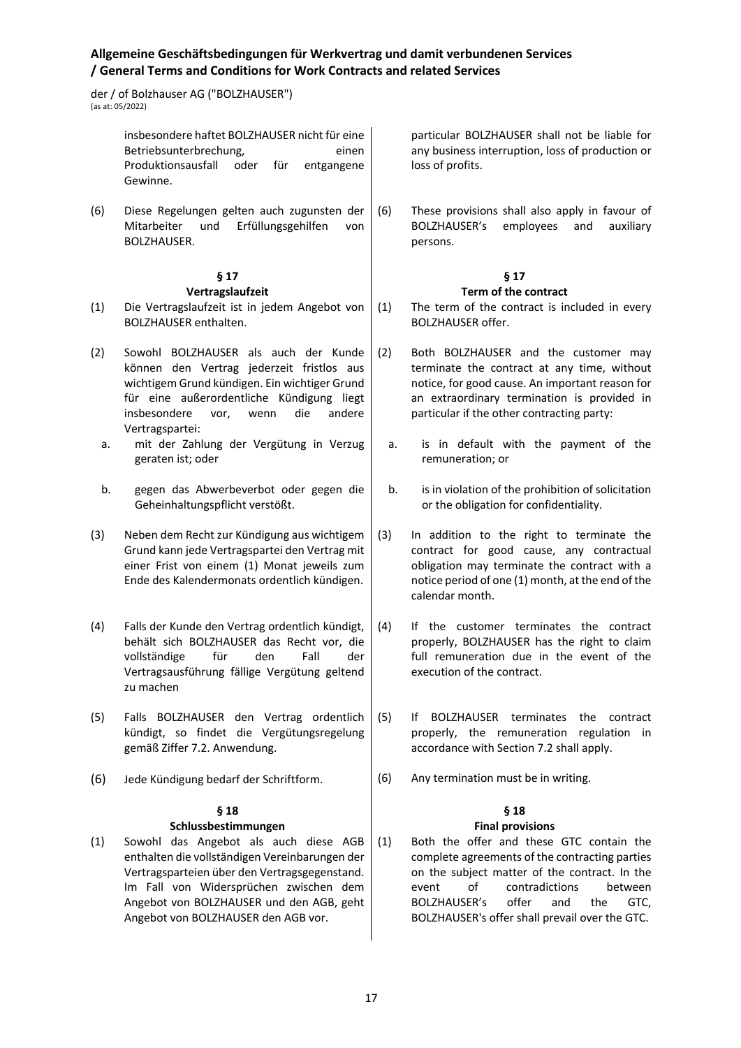der / of Bolzhauser AG ("BOLZHAUSER")  $\frac{1}{2}$  (as at: 05/2022)

> insbesondere haftet BOLZHAUSER nicht für eine Betriebsunterbrechung, einen Produktionsausfall oder für entgangene Gewinne.

(6) Diese Regelungen gelten auch zugunsten der Mitarbeiter und Erfüllungsgehilfen von BOLZHAUSER.

#### **§ 17 Vertragslaufzeit**

- (1) Die Vertragslaufzeit ist in jedem Angebot von BOLZHAUSER enthalten.
- (2) Sowohl BOLZHAUSER als auch der Kunde können den Vertrag jederzeit fristlos aus wichtigem Grund kündigen. Ein wichtiger Grund für eine außerordentliche Kündigung liegt insbesondere vor, wenn die andere Vertragspartei:
	- a. mit der Zahlung der Vergütung in Verzug geraten ist; oder
	- b. gegen das Abwerbeverbot oder gegen die Geheinhaltungspflicht verstößt.
- (3) Neben dem Recht zur Kündigung aus wichtigem Grund kann jede Vertragspartei den Vertrag mit einer Frist von einem (1) Monat jeweils zum Ende des Kalendermonats ordentlich kündigen.
- (4) Falls der Kunde den Vertrag ordentlich kündigt, behält sich BOLZHAUSER das Recht vor, die vollständige für den Fall der Vertragsausführung fällige Vergütung geltend zu machen
- (5) Falls BOLZHAUSER den Vertrag ordentlich kündigt, so findet die Vergütungsregelung gemäß Ziffer 7.2. Anwendung.
- (6) Jede Kündigung bedarf der Schriftform.

### **§ 18**

#### **Schlussbestimmungen**

(1) Sowohl das Angebot als auch diese AGB enthalten die vollständigen Vereinbarungen der Vertragsparteien über den Vertragsgegenstand. Im Fall von Widersprüchen zwischen dem Angebot von BOLZHAUSER und den AGB, geht Angebot von BOLZHAUSER den AGB vor.

particular BOLZHAUSER shall not be liable for any business interruption, loss of production or loss of profits.

(6) These provisions shall also apply in favour of BOLZHAUSER's employees and auxiliary persons.

# **§ 17**

### **Term of the contract**

- (1) The term of the contract is included in every BOLZHAUSER offer.
- (2) Both BOLZHAUSER and the customer may terminate the contract at any time, without notice, for good cause. An important reason for an extraordinary termination is provided in particular if the other contracting party:
	- a. is in default with the payment of the remuneration; or
	- b. is in violation of the prohibition of solicitation or the obligation for confidentiality.
- (3) In addition to the right to terminate the contract for good cause, any contractual obligation may terminate the contract with a notice period of one (1) month, at the end of the calendar month.
- (4) If the customer terminates the contract properly, BOLZHAUSER has the right to claim full remuneration due in the event of the execution of the contract.
- (5) If BOLZHAUSER terminates the contract properly, the remuneration regulation in accordance with Section 7.2 shall apply.
- (6) Any termination must be in writing.

# **§ 18**

## **Final provisions**

(1) Both the offer and these GTC contain the complete agreements of the contracting parties on the subject matter of the contract. In the event of contradictions between BOLZHAUSER's offer and the GTC, BOLZHAUSER's offer shall prevail over the GTC.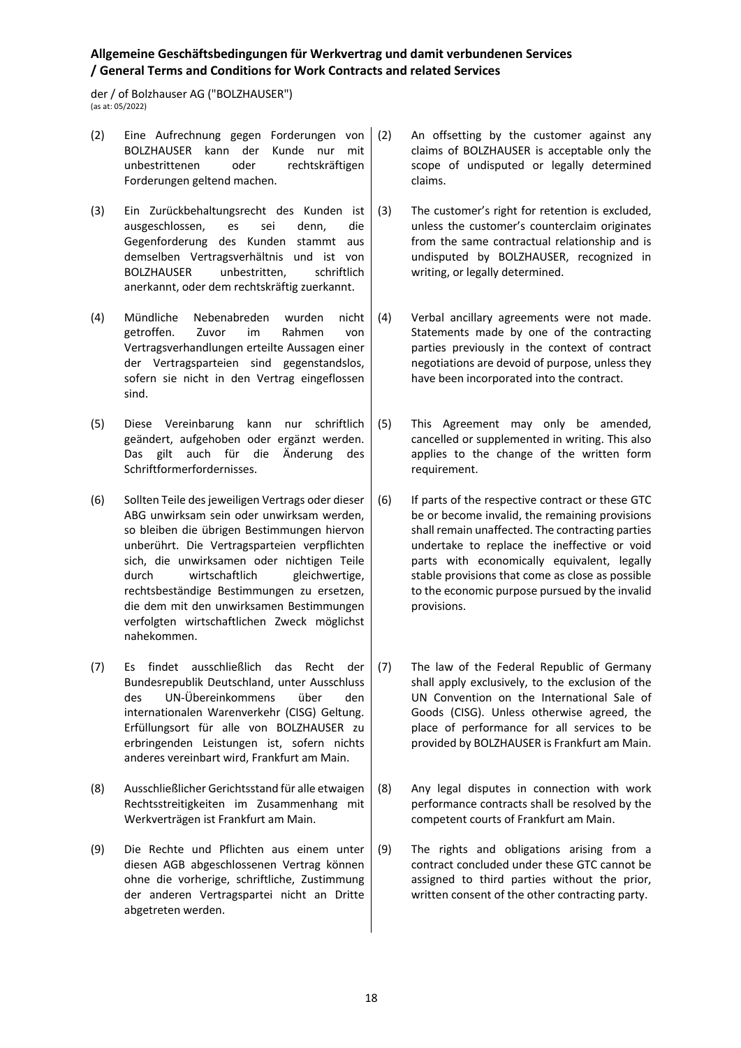der / of Bolzhauser AG ("BOLZHAUSER") (as at: 05/2022)

- (2) Eine Aufrechnung gegen Forderungen von BOLZHAUSER kann der Kunde nur mit unbestrittenen oder rechtskräftigen Forderungen geltend machen.
- (3) Ein Zurückbehaltungsrecht des Kunden ist ausgeschlossen, es sei denn, die Gegenforderung des Kunden stammt aus demselben Vertragsverhältnis und ist von BOLZHAUSER unbestritten, schriftlich anerkannt, oder dem rechtskräftig zuerkannt.
- (4) Mündliche Nebenabreden wurden nicht getroffen. Zuvor im Rahmen von Vertragsverhandlungen erteilte Aussagen einer der Vertragsparteien sind gegenstandslos, sofern sie nicht in den Vertrag eingeflossen sind.
- (5) Diese Vereinbarung kann nur schriftlich geändert, aufgehoben oder ergänzt werden. Das gilt auch für die Änderung des Schriftformerfordernisses.
- (6) Sollten Teile des jeweiligen Vertrags oder dieser ABG unwirksam sein oder unwirksam werden, so bleiben die übrigen Bestimmungen hiervon unberührt. Die Vertragsparteien verpflichten sich, die unwirksamen oder nichtigen Teile durch wirtschaftlich gleichwertige, rechtsbeständige Bestimmungen zu ersetzen, die dem mit den unwirksamen Bestimmungen verfolgten wirtschaftlichen Zweck möglichst nahekommen.
- (7) Es findet ausschließlich das Recht der Bundesrepublik Deutschland, unter Ausschluss des UN-Übereinkommens über den internationalen Warenverkehr (CISG) Geltung. Erfüllungsort für alle von BOLZHAUSER zu erbringenden Leistungen ist, sofern nichts anderes vereinbart wird, Frankfurt am Main.
- (8) Ausschließlicher Gerichtsstand für alle etwaigen Rechtsstreitigkeiten im Zusammenhang mit Werkverträgen ist Frankfurt am Main.
- (9) Die Rechte und Pflichten aus einem unter diesen AGB abgeschlossenen Vertrag können ohne die vorherige, schriftliche, Zustimmung der anderen Vertragspartei nicht an Dritte abgetreten werden.
- An offsetting by the customer against any claims of BOLZHAUSER is acceptable only the scope of undisputed or legally determined claims.
- (3) The customer's right for retention is excluded, unless the customer's counterclaim originates from the same contractual relationship and is undisputed by BOLZHAUSER, recognized in writing, or legally determined.
- (4) Verbal ancillary agreements were not made. Statements made by one of the contracting parties previously in the context of contract negotiations are devoid of purpose, unless they have been incorporated into the contract.
- (5) This Agreement may only be amended, cancelled or supplemented in writing. This also applies to the change of the written form requirement.
- (6) If parts of the respective contract or these GTC be or become invalid, the remaining provisions shall remain unaffected. The contracting parties undertake to replace the ineffective or void parts with economically equivalent, legally stable provisions that come as close as possible to the economic purpose pursued by the invalid provisions.
- (7) The law of the Federal Republic of Germany shall apply exclusively, to the exclusion of the UN Convention on the International Sale of Goods (CISG). Unless otherwise agreed, the place of performance for all services to be provided by BOLZHAUSER is Frankfurt am Main.
- (8) Any legal disputes in connection with work performance contracts shall be resolved by the competent courts of Frankfurt am Main.
- (9) The rights and obligations arising from a contract concluded under these GTC cannot be assigned to third parties without the prior, written consent of the other contracting party.